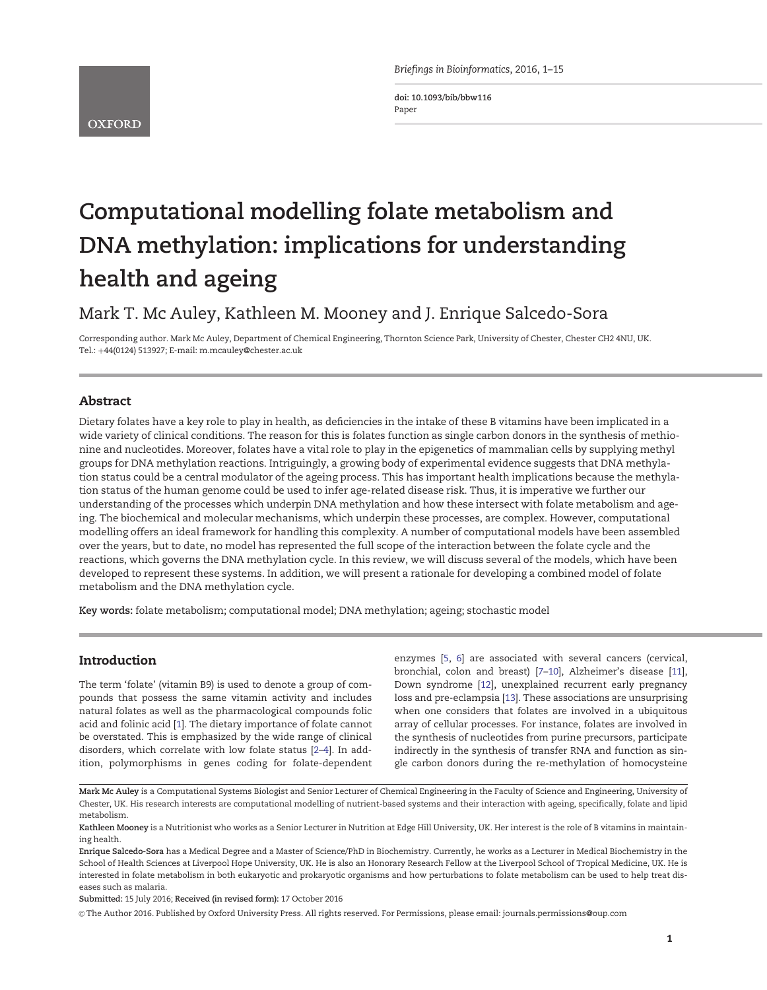Briefings in Bioinformatics, 2016, 1–15

doi: 10.1093/bib/bbw116 Paper

# Computational modelling folate metabolism and DNA methylation: implications for understanding health and ageing

Mark T. Mc Auley, Kathleen M. Mooney and J. Enrique Salcedo-Sora

Corresponding author. Mark Mc Auley, Department of Chemical Engineering, Thornton Science Park, University of Chester, Chester CH2 4NU, UK. Tel.: þ44(0124) 513927; E-mail: m.mcauley@chester.ac.uk

## Abstract

Dietary folates have a key role to play in health, as deficiencies in the intake of these B vitamins have been implicated in a wide variety of clinical conditions. The reason for this is folates function as single carbon donors in the synthesis of methionine and nucleotides. Moreover, folates have a vital role to play in the epigenetics of mammalian cells by supplying methyl groups for DNA methylation reactions. Intriguingly, a growing body of experimental evidence suggests that DNA methylation status could be a central modulator of the ageing process. This has important health implications because the methylation status of the human genome could be used to infer age-related disease risk. Thus, it is imperative we further our understanding of the processes which underpin DNA methylation and how these intersect with folate metabolism and ageing. The biochemical and molecular mechanisms, which underpin these processes, are complex. However, computational modelling offers an ideal framework for handling this complexity. A number of computational models have been assembled over the years, but to date, no model has represented the full scope of the interaction between the folate cycle and the reactions, which governs the DNA methylation cycle. In this review, we will discuss several of the models, which have been developed to represent these systems. In addition, we will present a rationale for developing a combined model of folate metabolism and the DNA methylation cycle.

Key words: folate metabolism; computational model; DNA methylation; ageing; stochastic model

#### Introduction

The term 'folate' (vitamin B9) is used to denote a group of compounds that possess the same vitamin activity and includes natural folates as well as the pharmacological compounds folic acid and folinic acid [[1](#page-10-0)]. The dietary importance of folate cannot be overstated. This is emphasized by the wide range of clinical disorders, which correlate with low folate status [[2](#page-10-0)[–4\]](#page-11-0). In addition, polymorphisms in genes coding for folate-dependent

enzymes [\[5,](#page-11-0) [6\]](#page-11-0) are associated with several cancers (cervical, bronchial, colon and breast) [[7](#page-11-0)–[10](#page-11-0)], Alzheimer's disease [\[11\]](#page-11-0), Down syndrome [[12](#page-11-0)], unexplained recurrent early pregnancy loss and pre-eclampsia [\[13\]](#page-11-0). These associations are unsurprising when one considers that folates are involved in a ubiquitous array of cellular processes. For instance, folates are involved in the synthesis of nucleotides from purine precursors, participate indirectly in the synthesis of transfer RNA and function as single carbon donors during the re-methylation of homocysteine

Submitted: 15 July 2016; Received (in revised form): 17 October 2016

V<sup>C</sup> The Author 2016. Published by Oxford University Press. All rights reserved. For Permissions, please email: journals.permissions@oup.com

Mark Mc Auley is a Computational Systems Biologist and Senior Lecturer of Chemical Engineering in the Faculty of Science and Engineering, University of Chester, UK. His research interests are computational modelling of nutrient-based systems and their interaction with ageing, specifically, folate and lipid metabolism.

Kathleen Mooney is a Nutritionist who works as a Senior Lecturer in Nutrition at Edge Hill University, UK. Her interest is the role of B vitamins in maintaining health.

Enrique Salcedo-Sora has a Medical Degree and a Master of Science/PhD in Biochemistry. Currently, he works as a Lecturer in Medical Biochemistry in the School of Health Sciences at Liverpool Hope University, UK. He is also an Honorary Research Fellow at the Liverpool School of Tropical Medicine, UK. He is interested in folate metabolism in both eukaryotic and prokaryotic organisms and how perturbations to folate metabolism can be used to help treat diseases such as malaria.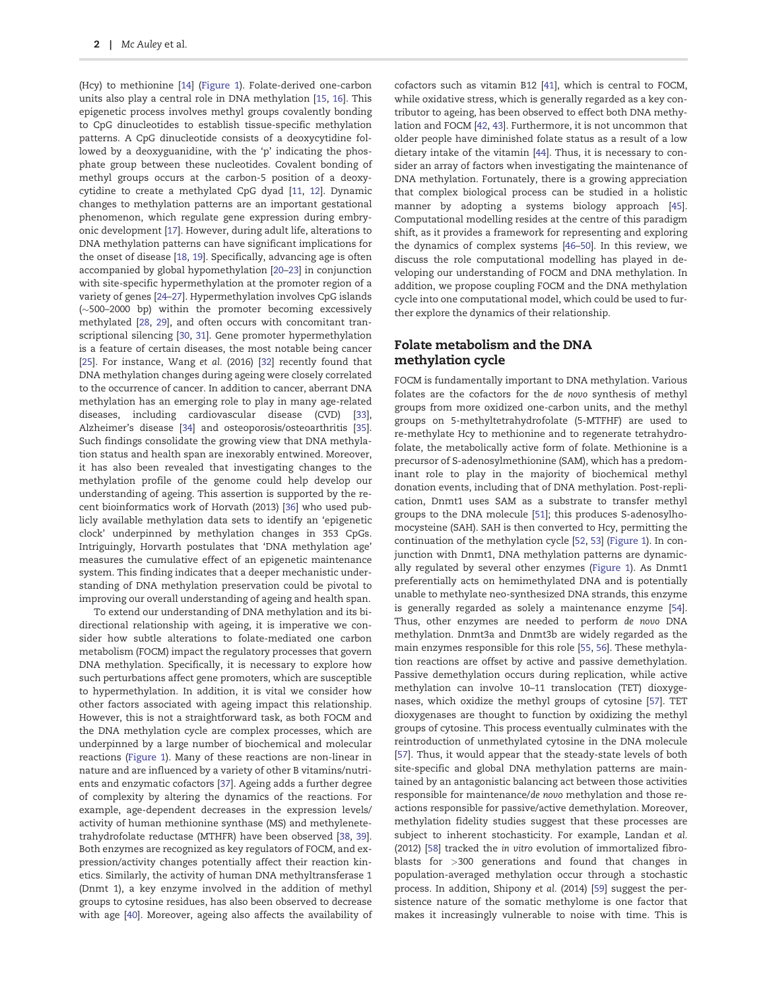(Hcy) to methionine [[14\]](#page-11-0) [\(Figure 1](#page-2-0)). Folate-derived one-carbon units also play a central role in DNA methylation [[15,](#page-11-0) [16\]](#page-11-0). This epigenetic process involves methyl groups covalently bonding to CpG dinucleotides to establish tissue-specific methylation patterns. A CpG dinucleotide consists of a deoxycytidine followed by a deoxyguanidine, with the 'p' indicating the phosphate group between these nucleotides. Covalent bonding of methyl groups occurs at the carbon-5 position of a deoxycytidine to create a methylated CpG dyad [\[11](#page-11-0), [12\]](#page-11-0). Dynamic changes to methylation patterns are an important gestational phenomenon, which regulate gene expression during embryonic development [[17\]](#page-11-0). However, during adult life, alterations to DNA methylation patterns can have significant implications for the onset of disease [\[18](#page-11-0), [19\]](#page-11-0). Specifically, advancing age is often accompanied by global hypomethylation [\[20–23\]](#page-11-0) in conjunction with site-specific hypermethylation at the promoter region of a variety of genes [\[24–27\]](#page-11-0). Hypermethylation involves CpG islands (-500–2000 bp) within the promoter becoming excessively methylated [\[28](#page-11-0), [29](#page-11-0)], and often occurs with concomitant transcriptional silencing [\[30](#page-11-0), [31\]](#page-11-0). Gene promoter hypermethylation is a feature of certain diseases, the most notable being cancer [\[25\]](#page-11-0). For instance, Wang et al. (2016) [[32\]](#page-11-0) recently found that DNA methylation changes during ageing were closely correlated to the occurrence of cancer. In addition to cancer, aberrant DNA methylation has an emerging role to play in many age-related diseases, including cardiovascular disease (CVD) [\[33\]](#page-11-0), Alzheimer's disease [[34\]](#page-11-0) and osteoporosis/osteoarthritis [\[35\]](#page-11-0). Such findings consolidate the growing view that DNA methylation status and health span are inexorably entwined. Moreover, it has also been revealed that investigating changes to the methylation profile of the genome could help develop our understanding of ageing. This assertion is supported by the recent bioinformatics work of Horvath (2013) [[36](#page-11-0)] who used publicly available methylation data sets to identify an 'epigenetic clock' underpinned by methylation changes in 353 CpGs. Intriguingly, Horvarth postulates that 'DNA methylation age' measures the cumulative effect of an epigenetic maintenance system. This finding indicates that a deeper mechanistic understanding of DNA methylation preservation could be pivotal to improving our overall understanding of ageing and health span.

To extend our understanding of DNA methylation and its bidirectional relationship with ageing, it is imperative we consider how subtle alterations to folate-mediated one carbon metabolism (FOCM) impact the regulatory processes that govern DNA methylation. Specifically, it is necessary to explore how such perturbations affect gene promoters, which are susceptible to hypermethylation. In addition, it is vital we consider how other factors associated with ageing impact this relationship. However, this is not a straightforward task, as both FOCM and the DNA methylation cycle are complex processes, which are underpinned by a large number of biochemical and molecular reactions [\(Figure 1](#page-2-0)). Many of these reactions are non-linear in nature and are influenced by a variety of other B vitamins/nutrients and enzymatic cofactors [[37](#page-11-0)]. Ageing adds a further degree of complexity by altering the dynamics of the reactions. For example, age-dependent decreases in the expression levels/ activity of human methionine synthase (MS) and methylenetetrahydrofolate reductase (MTHFR) have been observed [\[38](#page-11-0), [39\]](#page-11-0). Both enzymes are recognized as key regulators of FOCM, and expression/activity changes potentially affect their reaction kinetics. Similarly, the activity of human DNA methyltransferase 1 (Dnmt 1), a key enzyme involved in the addition of methyl groups to cytosine residues, has also been observed to decrease with age [\[40\]](#page-11-0). Moreover, ageing also affects the availability of

cofactors such as vitamin B12 [\[41\]](#page-11-0), which is central to FOCM, while oxidative stress, which is generally regarded as a key contributor to ageing, has been observed to effect both DNA methylation and FOCM [\[42](#page-11-0), [43\]](#page-11-0). Furthermore, it is not uncommon that older people have diminished folate status as a result of a low dietary intake of the vitamin [[44](#page-11-0)]. Thus, it is necessary to consider an array of factors when investigating the maintenance of DNA methylation. Fortunately, there is a growing appreciation that complex biological process can be studied in a holistic manner by adopting a systems biology approach [\[45\]](#page-11-0). Computational modelling resides at the centre of this paradigm shift, as it provides a framework for representing and exploring the dynamics of complex systems [[46–](#page-11-0)[50\]](#page-12-0). In this review, we discuss the role computational modelling has played in developing our understanding of FOCM and DNA methylation. In addition, we propose coupling FOCM and the DNA methylation cycle into one computational model, which could be used to further explore the dynamics of their relationship.

# Folate metabolism and the DNA methylation cycle

FOCM is fundamentally important to DNA methylation. Various folates are the cofactors for the de novo synthesis of methyl groups from more oxidized one-carbon units, and the methyl groups on 5-methyltetrahydrofolate (5-MTFHF) are used to re-methylate Hcy to methionine and to regenerate tetrahydrofolate, the metabolically active form of folate. Methionine is a precursor of S-adenosylmethionine (SAM), which has a predominant role to play in the majority of biochemical methyl donation events, including that of DNA methylation. Post-replication, Dnmt1 uses SAM as a substrate to transfer methyl groups to the DNA molecule [\[51\]](#page-12-0); this produces S-adenosylhomocysteine (SAH). SAH is then converted to Hcy, permitting the continuation of the methylation cycle [\[52,](#page-12-0) [53](#page-12-0)] [\(Figure 1](#page-2-0)). In conjunction with Dnmt1, DNA methylation patterns are dynamically regulated by several other enzymes [\(Figure 1](#page-2-0)). As Dnmt1 preferentially acts on hemimethylated DNA and is potentially unable to methylate neo-synthesized DNA strands, this enzyme is generally regarded as solely a maintenance enzyme [\[54\]](#page-12-0). Thus, other enzymes are needed to perform de novo DNA methylation. Dnmt3a and Dnmt3b are widely regarded as the main enzymes responsible for this role [[55](#page-12-0), [56\]](#page-12-0). These methylation reactions are offset by active and passive demethylation. Passive demethylation occurs during replication, while active methylation can involve 10–11 translocation (TET) dioxygenases, which oxidize the methyl groups of cytosine [[57\]](#page-12-0). TET dioxygenases are thought to function by oxidizing the methyl groups of cytosine. This process eventually culminates with the reintroduction of unmethylated cytosine in the DNA molecule [\[57\]](#page-12-0). Thus, it would appear that the steady-state levels of both site-specific and global DNA methylation patterns are maintained by an antagonistic balancing act between those activities responsible for maintenance/de novo methylation and those reactions responsible for passive/active demethylation. Moreover, methylation fidelity studies suggest that these processes are subject to inherent stochasticity. For example, Landan et al. (2012) [[58](#page-12-0)] tracked the in vitro evolution of immortalized fibroblasts for >300 generations and found that changes in population-averaged methylation occur through a stochastic process. In addition, Shipony et al. (2014) [[59\]](#page-12-0) suggest the persistence nature of the somatic methylome is one factor that makes it increasingly vulnerable to noise with time. This is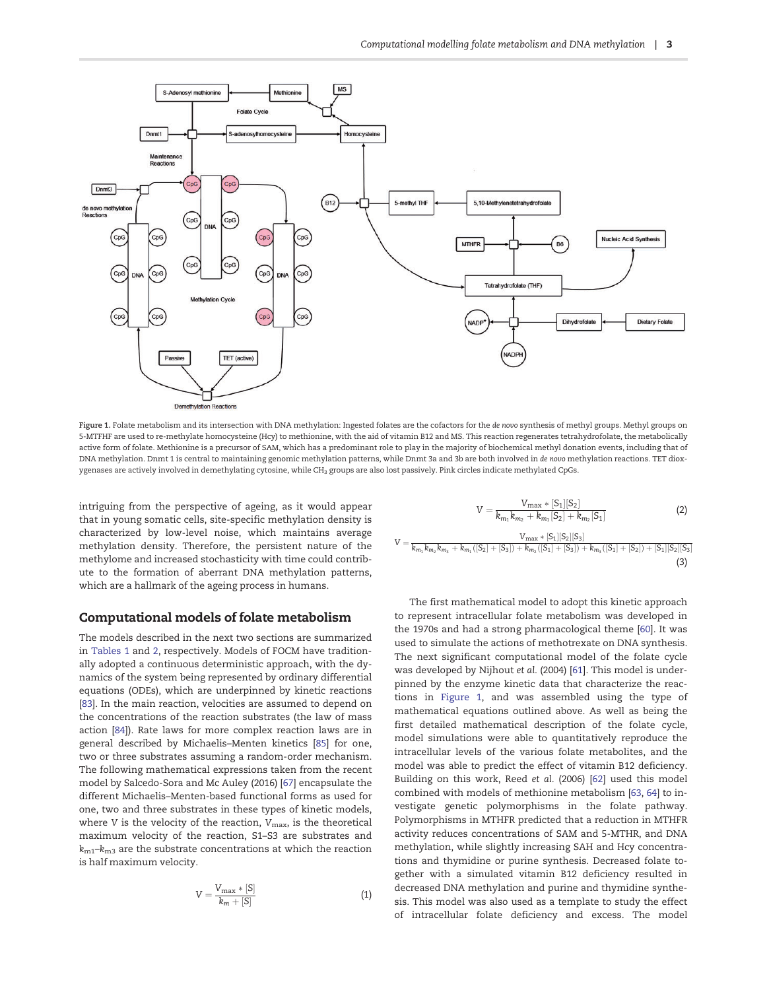<span id="page-2-0"></span>

Figure 1. Folate metabolism and its intersection with DNA methylation: Ingested folates are the cofactors for the de novo synthesis of methyl groups. Methyl groups on 5-MTFHF are used to re-methylate homocysteine (Hcy) to methionine, with the aid of vitamin B12 and MS. This reaction regenerates tetrahydrofolate, the metabolically active form of folate. Methionine is a precursor of SAM, which has a predominant role to play in the majority of biochemical methyl donation events, including that of DNA methylation. Dnmt 1 is central to maintaining genomic methylation patterns, while Dnmt 3a and 3b are both involved in de novo methylation reactions. TET dioxygenases are actively involved in demethylating cytosine, while CH<sub>3</sub> groups are also lost passively. Pink circles indicate methylated CpGs.

intriguing from the perspective of ageing, as it would appear that in young somatic cells, site-specific methylation density is characterized by low-level noise, which maintains average methylation density. Therefore, the persistent nature of the methylome and increased stochasticity with time could contribute to the formation of aberrant DNA methylation patterns, which are a hallmark of the ageing process in humans.

### Computational models of folate metabolism

The models described in the next two sections are summarized in [Tables 1](#page-3-0) and [2](#page-4-0), respectively. Models of FOCM have traditionally adopted a continuous deterministic approach, with the dynamics of the system being represented by ordinary differential equations (ODEs), which are underpinned by kinetic reactions [\[83\]](#page-12-0). In the main reaction, velocities are assumed to depend on the concentrations of the reaction substrates (the law of mass action [[84](#page-12-0)]). Rate laws for more complex reaction laws are in general described by Michaelis–Menten kinetics [\[85\]](#page-12-0) for one, two or three substrates assuming a random-order mechanism. The following mathematical expressions taken from the recent model by Salcedo-Sora and Mc Auley (2016) [\[67](#page-12-0)] encapsulate the different Michaelis–Menten-based functional forms as used for one, two and three substrates in these types of kinetic models, where V is the velocity of the reaction,  $\rm V_{max}$  is the theoretical maximum velocity of the reaction, S1–S3 are substrates and  $k_{m1}$ – $k_{m3}$  are the substrate concentrations at which the reaction is half maximum velocity.

$$
V = \frac{V_{\text{max}} * [S]}{k_m + [S]}
$$
 (1)

$$
V = \frac{V_{\max} * [S_1][S_2]}{k_{m_1}k_{m_2} + k_{m_1}[S_2] + k_{m_2}[S_1]}
$$
(2)

$$
V = \frac{V_{\max} * [S_1][S_2][S_3]}{k_{m_1}k_{m_2}k_{m_3} + k_{m_1}([S_2] + [S_3]) + k_{m_2}([S_1] + [S_3]) + k_{m_3}([S_1] + [S_2]) + [S_1][S_2][S_3]}
$$
(3)

The first mathematical model to adopt this kinetic approach to represent intracellular folate metabolism was developed in the 1970s and had a strong pharmacological theme [\[60\]](#page-12-0). It was used to simulate the actions of methotrexate on DNA synthesis. The next significant computational model of the folate cycle was developed by Nijhout et al. (2004) [\[61\]](#page-12-0). This model is underpinned by the enzyme kinetic data that characterize the reactions in Figure 1, and was assembled using the type of mathematical equations outlined above. As well as being the first detailed mathematical description of the folate cycle, model simulations were able to quantitatively reproduce the intracellular levels of the various folate metabolites, and the model was able to predict the effect of vitamin B12 deficiency. Building on this work, Reed et al. (2006) [\[62\]](#page-12-0) used this model combined with models of methionine metabolism [\[63](#page-12-0), [64\]](#page-12-0) to investigate genetic polymorphisms in the folate pathway. Polymorphisms in MTHFR predicted that a reduction in MTHFR activity reduces concentrations of SAM and 5-MTHR, and DNA methylation, while slightly increasing SAH and Hcy concentrations and thymidine or purine synthesis. Decreased folate together with a simulated vitamin B12 deficiency resulted in decreased DNA methylation and purine and thymidine synthesis. This model was also used as a template to study the effect of intracellular folate deficiency and excess. The model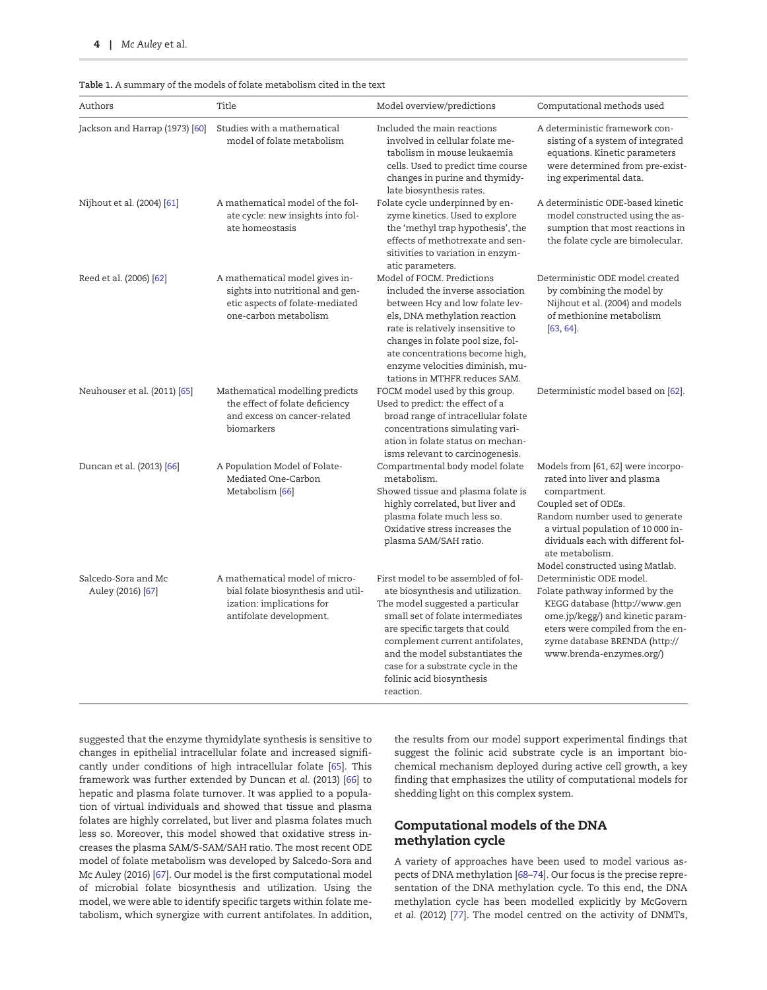<span id="page-3-0"></span>

| Authors                        | Title                                                                                                                          | Model overview/predictions                                                                                                                                                                                  | Computational methods used                                                                                                                                        |
|--------------------------------|--------------------------------------------------------------------------------------------------------------------------------|-------------------------------------------------------------------------------------------------------------------------------------------------------------------------------------------------------------|-------------------------------------------------------------------------------------------------------------------------------------------------------------------|
| Jackson and Harrap (1973) [60] | Studies with a mathematical<br>model of folate metabolism                                                                      | Included the main reactions<br>involved in cellular folate me-<br>tabolism in mouse leukaemia<br>cells. Used to predict time course<br>changes in purine and thymidy-<br>late biosynthesis rates.           | A deterministic framework con-<br>sisting of a system of integrated<br>equations. Kinetic parameters<br>were determined from pre-exist-<br>ing experimental data. |
| Nijhout et al. (2004) [61]     | A mathematical model of the fol-<br>ate cycle: new insights into fol-<br>ate homeostasis                                       | Folate cycle underpinned by en-<br>zyme kinetics. Used to explore<br>the 'methyl trap hypothesis', the<br>effects of methotrexate and sen-<br>sitivities to variation in enzym-<br>atic parameters.         | A deterministic ODE-based kinetic<br>model constructed using the as-<br>sumption that most reactions in<br>the folate cycle are bimolecular.                      |
| Reed et al. (2006) [62]        | A mathematical model gives in-<br>sights into nutritional and gen-<br>etic aspects of folate-mediated<br>one-carbon metabolism | Model of FOCM. Predictions<br>included the inverse association<br>between Hcy and low folate lev-<br>els, DNA methylation reaction<br>rate is relatively insensitive to<br>changes in folate nool size fol- | Deterministic ODE model created<br>by combining the model by<br>Nijhout et al. (2004) and models<br>of methionine metabolism<br>$[63, 64]$ .                      |

| Reed et al. (2006) [62]                  | A mathematical model gives in-<br>sights into nutritional and gen-<br>etic aspects of folate-mediated<br>one-carbon metabolism | Model of FOCM. Predictions<br>included the inverse association<br>between Hcy and low folate lev-<br>els, DNA methylation reaction<br>rate is relatively insensitive to<br>changes in folate pool size, fol-<br>ate concentrations become high,<br>enzyme velocities diminish, mu-<br>tations in MTHFR reduces SAM.                       | Deterministic ODE model created<br>by combining the model by<br>Nijhout et al. (2004) and models<br>of methionine metabolism<br>$[63, 64]$ .                                                                                                                                  |
|------------------------------------------|--------------------------------------------------------------------------------------------------------------------------------|-------------------------------------------------------------------------------------------------------------------------------------------------------------------------------------------------------------------------------------------------------------------------------------------------------------------------------------------|-------------------------------------------------------------------------------------------------------------------------------------------------------------------------------------------------------------------------------------------------------------------------------|
| Neuhouser et al. (2011) [65]             | Mathematical modelling predicts<br>the effect of folate deficiency<br>and excess on cancer-related<br>biomarkers               | FOCM model used by this group.<br>Used to predict: the effect of a<br>broad range of intracellular folate<br>concentrations simulating vari-<br>ation in folate status on mechan-<br>isms relevant to carcinogenesis.                                                                                                                     | Deterministic model based on [62].                                                                                                                                                                                                                                            |
| Duncan et al. (2013) [66]                | A Population Model of Folate-<br>Mediated One-Carbon<br>Metabolism [66]                                                        | Compartmental body model folate<br>metabolism.<br>Showed tissue and plasma folate is<br>highly correlated, but liver and<br>plasma folate much less so.<br>Oxidative stress increases the<br>plasma SAM/SAH ratio.                                                                                                                        | Models from [61, 62] were incorpo-<br>rated into liver and plasma<br>compartment.<br>Coupled set of ODEs.<br>Random number used to generate<br>a virtual population of 10 000 in-<br>dividuals each with different fol-<br>ate metabolism.<br>Model constructed using Matlab. |
| Salcedo-Sora and Mc<br>Auley (2016) [67] | A mathematical model of micro-<br>bial folate biosynthesis and util-<br>ization: implications for<br>antifolate development.   | First model to be assembled of fol-<br>ate biosynthesis and utilization.<br>The model suggested a particular<br>small set of folate intermediates<br>are specific targets that could<br>complement current antifolates,<br>and the model substantiates the<br>case for a substrate cycle in the<br>folinic acid biosynthesis<br>reaction. | Deterministic ODE model.<br>Folate pathway informed by the<br>KEGG database (http://www.gen<br>ome.jp/kegg/) and kinetic param-<br>eters were compiled from the en-<br>zyme database BRENDA (http://<br>www.brenda-enzymes.org/)                                              |

suggested that the enzyme thymidylate synthesis is sensitive to changes in epithelial intracellular folate and increased significantly under conditions of high intracellular folate [[65\]](#page-12-0). This framework was further extended by Duncan et al. (2013) [[66\]](#page-12-0) to hepatic and plasma folate turnover. It was applied to a population of virtual individuals and showed that tissue and plasma folates are highly correlated, but liver and plasma folates much less so. Moreover, this model showed that oxidative stress increases the plasma SAM/S-SAM/SAH ratio. The most recent ODE model of folate metabolism was developed by Salcedo-Sora and Mc Auley (2016) [\[67\]](#page-12-0). Our model is the first computational model of microbial folate biosynthesis and utilization. Using the model, we were able to identify specific targets within folate metabolism, which synergize with current antifolates. In addition, the results from our model support experimental findings that suggest the folinic acid substrate cycle is an important biochemical mechanism deployed during active cell growth, a key finding that emphasizes the utility of computational models for shedding light on this complex system.

# Computational models of the DNA methylation cycle

A variety of approaches have been used to model various aspects of DNA methylation [[68–74](#page-12-0)]. Our focus is the precise representation of the DNA methylation cycle. To this end, the DNA methylation cycle has been modelled explicitly by McGovern et al. (2012) [\[77](#page-12-0)]. The model centred on the activity of DNMTs,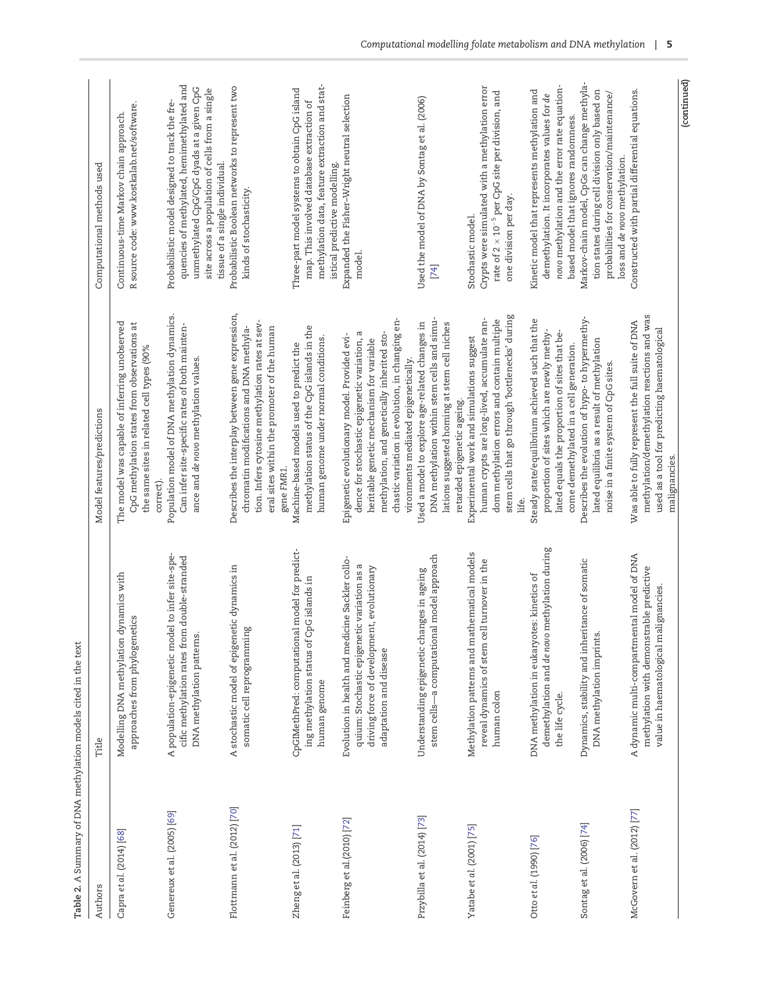<span id="page-4-0"></span>

| able 2.1.2 cm with a final product in the contract of the contract of the contract of the contract of the contract of the contract of the contract of the contract of the contract of the contract of the contract of the cont |                                                                                                                                                                        |                                                                                                                                                                                                                                                                                   |                                                                                                                                                                                                                                |
|--------------------------------------------------------------------------------------------------------------------------------------------------------------------------------------------------------------------------------|------------------------------------------------------------------------------------------------------------------------------------------------------------------------|-----------------------------------------------------------------------------------------------------------------------------------------------------------------------------------------------------------------------------------------------------------------------------------|--------------------------------------------------------------------------------------------------------------------------------------------------------------------------------------------------------------------------------|
| Authors                                                                                                                                                                                                                        | Title                                                                                                                                                                  | Model features/predictions                                                                                                                                                                                                                                                        | Computational methods used                                                                                                                                                                                                     |
| Capra et al. (2014) [68]                                                                                                                                                                                                       | dynamics with<br>approaches from phylogenetics<br>Modelling DNA methylation                                                                                            | The model was capable of inferring unobserved<br>CpG methylation states from observations at<br>the same sites in related cell types (90% $\,$<br>correct).                                                                                                                       | R source code: www.kostkalab.net/software.<br>Continuous-time Markov chain approach.                                                                                                                                           |
| Genereux et al. (2005) [69]                                                                                                                                                                                                    | A population-epigenetic model to infer site-spe-<br>cific methylation rates from double-stranded<br>DNA methylation patterns                                           | Population model of DNA methylation dynamics.<br>Can infer site-specific rates of both mainten-<br>ance and de novo methylation values                                                                                                                                            | quencies of methylated, hemimethylated and<br>unmethylated CpG/CpG dyads at a given CpG<br>site across a population of cells from a single<br>Probabilistic model designed to track the fre-<br>tissue of a single individual. |
| Flottmann et al. (2012) [70]                                                                                                                                                                                                   | A stochastic model of epigenetic dynamics in<br>somatic cell reprogramming                                                                                             | Describes the interplay between gene expression,<br>tion. Infers cytosine methylation rates at sev-<br>chromatin modifications and DNA methyla-<br>eral sites within the promoter of the human<br>gene FMR1.                                                                      | Probabilistic Boolean networks to represent two<br>kinds of stochasticity.                                                                                                                                                     |
| Zheng et al. (2013) [71]                                                                                                                                                                                                       | CpGIMethPred: computational model for predict-<br>ing methylation status of CpG islands in<br>human genome                                                             | methylation status of the CpG islands in the<br>human genome under normal conditions.<br>Machine-based models used to predict the                                                                                                                                                 | methylation data, feature extraction and stat-<br>Three-part model systems to obtain CpG island<br>map. This involved database extraction of<br>istical predictive modelling.                                                  |
| Feinberg et al.(2010) [72]                                                                                                                                                                                                     | Evolution in health and medicine Sackler collo-<br>quium: Stochastic epigenetic variation as a<br>driving force of development, evolutionary<br>adaptation and disease | chastic variation in evolution, in changing en-<br>dence for stochastic epigenetic variation, a<br>methylation, and genetically inherited sto-<br>Epigenetic evolutionary model. Provided evi-<br>heritable genetic mechanism for variable<br>vironments mediated epigenetically. | Expanded the Fisher-Wright neutral selection<br>model.                                                                                                                                                                         |
| Przybilla et al. (2014) [73]                                                                                                                                                                                                   | al model approach<br>Understanding epigenetic changes in ageing<br>stem cells-a computation                                                                            | DNA methylation within stem cells and simu-<br>Used a model to explore age-related changes in<br>lations suggested homing at stem cell niches<br>retarded epigenetic ageing.                                                                                                      | Used the model of DNA by Sontag et al. (2006)<br>[74]                                                                                                                                                                          |
| Yatabe et al. (2001) [75]                                                                                                                                                                                                      | Methylation patterns and mathematical models<br>reveal dynamics of stem cell turnover in the<br>human colon                                                            | stem cells that go through 'bottlenecks' during<br>human crypts are long-lived, accumulate ran-<br>dom methylation errors and contain multiple<br>Experimental work and simulations suggest<br>life.                                                                              | Crypts were simulated with a methylation error<br>rate of 2 $\times$ 10 $^{-5}$ per CpG site per division, and<br>one division per day.<br>Stochastic model.                                                                   |
| Otto et al. (1990) [76]                                                                                                                                                                                                        | demethylation and de novo methylation during<br>DNA methylation in eukaryotes: kinetics of<br>the life cycle.                                                          | Steady state/equilibrium achieved such that the<br>proportion of sites which are newly methy-<br>lated equals the proportion of sites that be-<br>come demethylated in a cell generation.                                                                                         | novo methylation and the error rate equation-<br>Kinetic model that represents methylation and<br>demethylation. It incorporates values for de<br>based model that ignores randomness.                                         |
| Sontag et al. (2006) [74]                                                                                                                                                                                                      | Dynamics, stability and inheritance of somatic<br>DNA methylation imprints                                                                                             | Describes the evolution of hypo- to hypermethy-<br>lated equilibria as a result of methylation<br>noise in a finite system of CpG sites.                                                                                                                                          | Markov-chain model, CpGs can change methyla-<br>tion states during cell division only based on<br>probabilities for conservation/maintenance/<br>loss and de novo methylation.                                                 |
| McGovern et al. (2012) [77]                                                                                                                                                                                                    | A dynamic multi-compartmental model of DNA<br>methylation with demonstrable predictive<br>value in haematological malignancies                                         | methylation/demethylation reactions and was<br>Was able to fully represent the full suite of DNA<br>used as a tool for predicting haematological<br>malignancies.                                                                                                                 | Constructed with partial differential equations.                                                                                                                                                                               |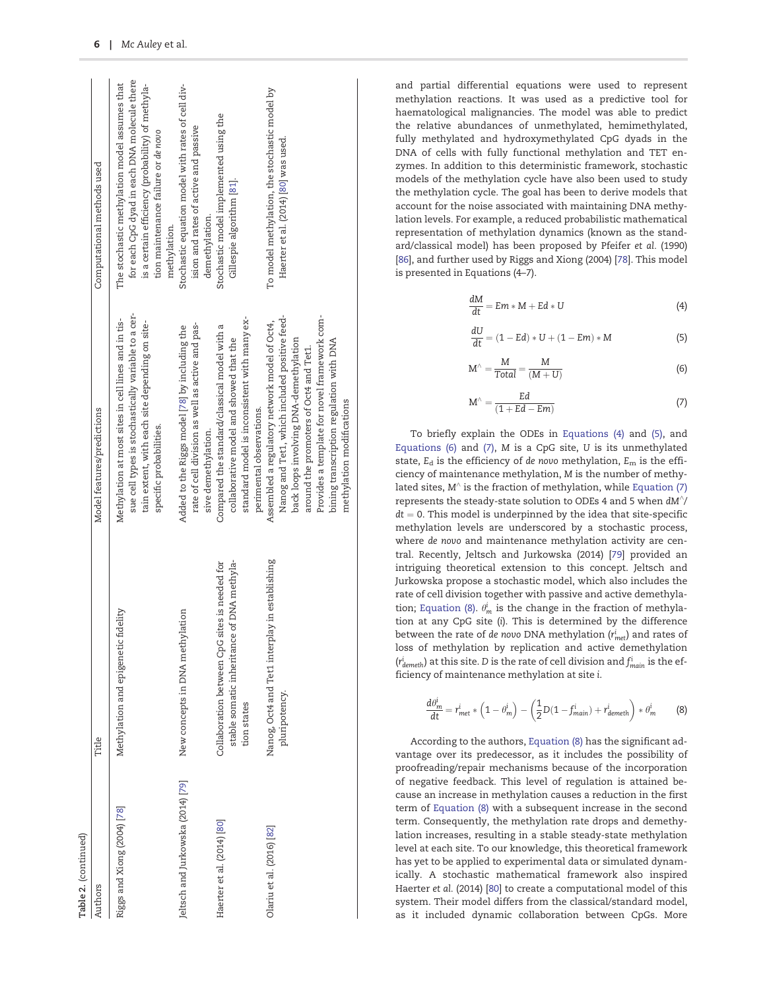| Table 2. (continued)             |                                                                                                            |                                                                                                                                                                                                                                                                                |                                                                                                                                                                                                           |
|----------------------------------|------------------------------------------------------------------------------------------------------------|--------------------------------------------------------------------------------------------------------------------------------------------------------------------------------------------------------------------------------------------------------------------------------|-----------------------------------------------------------------------------------------------------------------------------------------------------------------------------------------------------------|
| Authors                          | Title                                                                                                      | Model features/predictions                                                                                                                                                                                                                                                     | Computational methods used                                                                                                                                                                                |
| Riggs and Xiong (2004) [78]      | Methylation and epigenetic fidelity                                                                        | sue cell types is stochastically variable to a cer-<br>Methylation at most sites in cell lines and in tis-<br>tain extent, with each site depending on site-<br>specific probabilities.                                                                                        | for each CpG dyad in each DNA molecule there<br>The stochastic methylation model assumes that<br>is a certain efficiency (probability) of methyla-<br>tion maintenance failure or de novo<br>methylation. |
| eltsch and Jurkowska (2014) [79] | New concepts in DNA methylation                                                                            | rate of cell division as well as active and pas-<br>Added to the Riggs model [78] by including the<br>sive demethylation.                                                                                                                                                      | Stochastic equation model with rates of cell div-<br>ision and rates of active and passive<br>demethylation.                                                                                              |
| Haerter et al. (2014) [80]       | stable somatic inheritance of DNA methyla-<br>Collaboration between CpG sites is needed for<br>tion states | standard model is inconsistent with many ex-<br>Compared the standard/classical model with a<br>collaborative model and showed that the<br>perimental observations.                                                                                                            | Stochastic model implemented using the<br>Gillespie algorithm [81].                                                                                                                                       |
| Olariu et al. (2016) [82]        | Nanog, Oct4 and Tet1 interplay in establishing<br>pluripotency.                                            | Nanog and Tet1, which included positive feed-<br>Provides a template for novel framework com-<br>Assembled a regulatory network model of Oct4,<br>back loops involving DNA-demethylation<br>bining transcription regulation with DNA<br>around the promoters of Oct4 and Tet1. | To model methylation, the stochastic model by<br>Haerter et al. (2014) [80] was used.                                                                                                                     |

methylation modifications

methylation modifications

and partial differential equations were used to represent methylation reactions. It was used as a predictive tool for haematological malignancies. The model was able to predict the relative abundances of unmethylated, hemimethylated, fully methylated and hydroxymethylated CpG dyads in the DNA of cells with fully functional methylation and TET enzymes. In addition to this deterministic framework, stochastic models of the methylation cycle have also been used to study the methylation cycle. The goal has been to derive models that account for the noise associated with maintaining DNA methylation levels. For example, a reduced probabilistic mathematical representation of methylation dynamics (known as the standard/classical model) has been proposed by Pfeifer et al. (1990) [\[86](#page-12-0)], and further used by Riggs and Xiong (2004) [\[78](#page-12-0)]. This model is presented in Equations (4–7).

$$
\frac{dM}{dt} = Em * M + Ed * U \tag{4}
$$

$$
\frac{dU}{dt} = (1 - Ed) * U + (1 - Em) * M \tag{5}
$$

$$
M^{\wedge} = \frac{M}{Total} = \frac{M}{(M+U)}
$$
\n(6)

$$
M^{\wedge} = \frac{Ed}{(1 + Ed - Em)}\tag{7}
$$

To briefly explain the ODEs in Equations (4) and (5), and Equations (6) and (7), M is a CpG site, U is its unmethylated state,  $E_d$  is the efficiency of de novo methylation,  $E_m$  is the efficiency of maintenance methylation, M is the number of methylated sites,  $M^{\wedge}$  is the fraction of methylation, while Equation (7) represents the steady-state solution to ODEs 4 and 5 when  $dM^2/d$  $dt = 0$ . This model is underpinned by the idea that site-specific methylation levels are underscored by a stochastic process, where de novo and maintenance methylation activity are central. Recently, Jeltsch and Jurkowska (2014) [[79\]](#page-12-0) provided an intriguing theoretical extension to this concept. Jeltsch and Jurkowska propose a stochastic model, which also includes the rate of cell division together with passive and active demethylation; Equation (8).  $\theta_m^i$  is the change in the fraction of methylation at any CpG site (i). This is determined by the difference between the rate of *de n*ovo DNA methylation ( $r_{met}^i$ ) and rates of loss of methylation by replication and active demethylation  $(r_{demeth}^i)$  at this site. D is the rate of cell division and  $f_{main}^i$  is the efficiency of maintenance methylation at site i.

$$
\frac{d\theta_m^i}{dt} = r_{met}^i * \left(1 - \theta_m^i\right) - \left(\frac{1}{2}D(1 - f_{main}^i) + r_{demeth}^i\right) * \theta_m^i \tag{8}
$$

According to the authors, Equation (8) has the significant advantage over its predecessor, as it includes the possibility of proofreading/repair mechanisms because of the incorporation of negative feedback. This level of regulation is attained because an increase in methylation causes a reduction in the first term of Equation (8) with a subsequent increase in the second term. Consequently, the methylation rate drops and demethylation increases, resulting in a stable steady-state methylation level at each site. To our knowledge, this theoretical framework has yet to be applied to experimental data or simulated dynamically. A stochastic mathematical framework also inspired Haerter et al. (2014) [\[80\]](#page-12-0) to create a computational model of this system. Their model differs from the classical/standard model, as it included dynamic collaboration between CpGs. More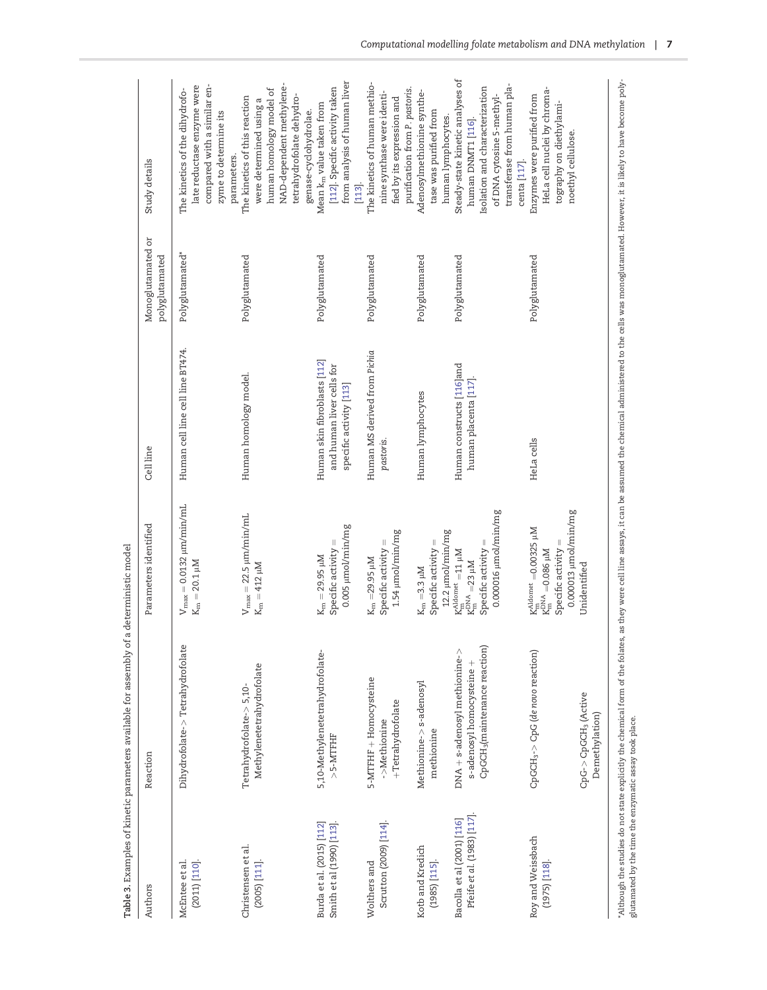<span id="page-6-0"></span>

| Authors                                                  | Reaction                                                                                                | Parameters identified                                                                                                                                                | Cell line                                                                            | Monoglutamated or<br>polyglutamated | Study details                                                                                                                                               |
|----------------------------------------------------------|---------------------------------------------------------------------------------------------------------|----------------------------------------------------------------------------------------------------------------------------------------------------------------------|--------------------------------------------------------------------------------------|-------------------------------------|-------------------------------------------------------------------------------------------------------------------------------------------------------------|
| $(2011)$ $[110]$<br>McEntee et al.                       | Dihydrofolate->Tetrahydrofolate                                                                         | $V_{\rm max} = 0.0132 \mu m/min/mL$<br>$K_m = 20.1 \mu M$                                                                                                            | Human cell line cell line BT474.                                                     | Polyglutamated*                     | compared with a similar en-<br>late reductase enzyme were<br>The kinetics of the dihydrofo-<br>zyme to determine its                                        |
| Christensen et al.<br>$(2005)$ $[111]$ .                 | Methylenetetrahydrofolate<br>Tetrahydrofolate-> 5,10-                                                   | $V_{\text{max}} = 22.5 \ \mu m/min/mL$<br>$K_m = 412 \mu M$                                                                                                          | Human homology model.                                                                | Polyglutamated                      | NAD-dependent methylene-<br>human homology model of<br>tetrahydrofolate dehydro-<br>The kinetics of this reaction<br>were determined using a<br>parameters. |
| Smith et al (1990) [113].<br>Burda et al. (2015) [112]   | 5,10-Methylenetetrahydrofolate-<br>$>5$ -MTFHF                                                          | $0.005 \mu$ mol/ $\min$ / $mg$<br>Specific activity $=$<br>$K_m = 29.95 \mu M$                                                                                       | Human skin fibroblasts [112]<br>and human liver cells for<br>specific activity [113] | Polyglutamated                      | from analysis of human liver<br>[112]. Specific activity taken<br>Mean k <sub>m</sub> value taken from<br>genase-cyclohydrolae.<br>$[113].$                 |
| Scrutton (2009) [114].<br>Wolthers and                   | 5-MTFHF + Homocysteine<br>+Tetrahydrofolate<br>->Methionine                                             | $1.54 \mu$ mol/min/mg<br>Specific activity $=$<br>$K_m = 29.95 \mu M$                                                                                                | Human MS derived from Pichia<br>pastoris.                                            | Polyglutamated                      | The kinetics of human methio-<br>nine synthase were identi-<br>fied by its expression and                                                                   |
| Kotb and Kredich<br>$(1985)$ $[115]$                     | Methionine-> s-adenosyl<br>methionine                                                                   | 12.2 µmol/min/mg<br>Specific activity $=$<br>$K_m = 3.3 \mu M$                                                                                                       | Human lymphocytes                                                                    | Polyglutamated                      | purification from P. pastoris.<br>Adenosylmethionine synthe-<br>tase was purified from<br>human lymphocytes.                                                |
| Pfeife et al. (1983) [117]<br>Bacolla et al (2001) [116] | CpGCH <sub>3</sub> (maintenance reaction)<br>DNA + s-adenosyl methionine-><br>s-adenosyl homocysteine + | $0.000016$ $\mu$ mol/m $\text{im/mg}$<br>Specific activity $=$<br>$\begin{array}{l} K_{\rm m}^{\rm Aldomet} = 11~\mu M\\ K_{\rm m}^{\rm DNA} = 23~\mu M \end{array}$ | Human constructs [116]and<br>human placenta [117].                                   | Polyglutamated                      | Steady-state kinetic analyses of<br>transferase from human pla-<br>Isolation and characterization<br>of DNA cytosine 5-methyl-<br>human DNMT1 [116].        |
| Roy and Weissbach<br>$(1975)$ $[118]$                    | CpGCH <sub>3</sub> -> CpG (de novo reaction)<br>CpG->CpGCH <sub>3</sub> (Active<br>Demethylation)       | 0.000013 µmol/min/mg<br>$\begin{array}{l} K_m^{\rm Aldomet} = 0.00325~\mu M\\ K_m^{\rm DNA} = 0.086~\mu M \end{array}$<br>Specific activity $=$<br>Unidentified      | HeLa cells                                                                           | Polyglutamated                      | HeLa cell nuclei by chroma-<br>Enzymes were purified from<br>tography on diethylami-<br>noethyl cellulose.<br>centa [117].                                  |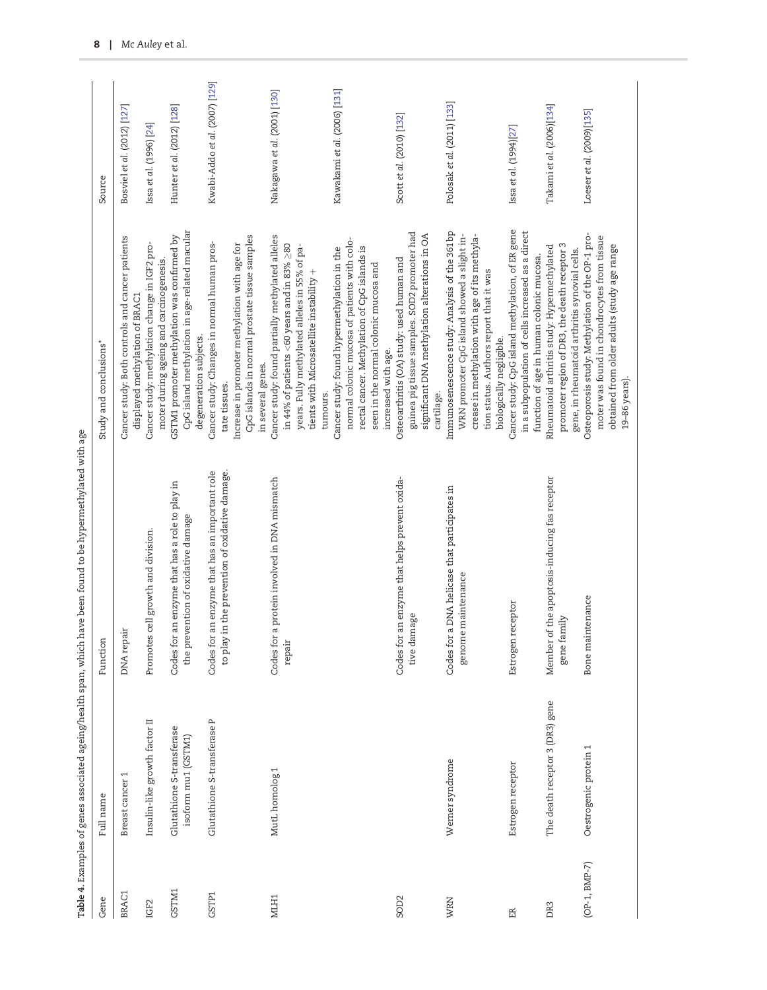<span id="page-7-0"></span>

| Gene             | Full name                                        | Function                                                                                            | Study and conclusions*                                                                                                                                                                                                 | Source                         |
|------------------|--------------------------------------------------|-----------------------------------------------------------------------------------------------------|------------------------------------------------------------------------------------------------------------------------------------------------------------------------------------------------------------------------|--------------------------------|
| BRAC1            | Breast cancer 1                                  | <b>DNA</b> repair                                                                                   | Cancer study: Both controls and cancer patients<br>displayed methylation of BRAC1                                                                                                                                      | Bosviel et al. (2012) [127]    |
| IGF <sub>2</sub> | Insulin-like growth factor II                    | cell growth and division.<br>Promotes                                                               | Cancer study: methylation change in IGF2 pro-<br>moter during ageing and carcinogenesis.                                                                                                                               | Issa et al. (1996) [24]        |
| GSTM1            | Glutathione S-transferase<br>isoform mu1 (GSTM1) | an enzyme that has a role to play in<br>the prevention of oxidative damage<br>Codes for             | CpG island methylation in age-related macular<br>GSTM1 promoter methylation was confirmed by<br>degeneration subjects.                                                                                                 | Hunter et al. (2012) [128]     |
| GSTP1            | Glutathione S-transferase P                      | an enzyme that has an important role<br>to play in the prevention of oxidative damage.<br>Codes for | CpG islands in normal prostate tissue samples<br>Cancer study: Changes in normal human pros-<br>Increase in promoter methylation with age for<br>in several genes.<br>tate tissues.                                    | Kwabi-Addo et al. (2007) [129] |
| MLH1             | MutL homolog 1                                   | a protein involved in DNA mismatch<br>Codes for<br>repair                                           | Cancer study: found partially methylated alleles<br>in 44% of patients <60 years and in 83% $\geq$ 80<br>years. Fully methylated alleles in 55% of pa-<br>tients with Microsatellite instability +<br>tumours.         | Nakagawa et al. (2001) [130]   |
|                  |                                                  |                                                                                                     | normal colonic mucosa of patients with colo-<br>rectal cancer. Methylation of CpG islands is<br>Cancer study: found hypermethylation in the<br>seen in the normal colonic mucosa and<br>increased with age.            | Kawakami et al. (2006) [131]   |
| SOD <sub>2</sub> |                                                  | an enzyme that helps prevent oxida-<br>tive damage<br>Codes for                                     | guinea pig tissue samples. SOD2 promoter had<br>significant DNA methylation alterations in OA<br>Osteoarthritis (OA) study: used human and<br>cartilage.                                                               | Scott et al. (2010) [132]      |
| <b>WRN</b>       | Wemer syndrome                                   | a DNA helicase that participates in<br>genome maintenance<br>Codes for                              | Immunosenescence study: Analysis of the 361 bp<br>crease in methylation with age of its methyla-<br>WRN promoter CpG island showed a slight in-<br>tion status. Authors report that it was<br>biologically negligible. | Polosak et al. (2011) [133]    |
| ER               | Estrogen receptor                                | receptor<br>Estrogen                                                                                | Cancer study: CpG island methylation, of ER gene<br>in a subpopulation of cells increased as a direct<br>function of age in human colonic mucosa.                                                                      | Issa et al. (1994)[27]         |
| DR <sub>3</sub>  | The death receptor 3 (DR3) gene                  | Member of the apoptosis-inducing fas receptor<br>gene family                                        | promoter region of DR3, the death receptor 3<br>Rheumatoid arthritis study: Hypermethylated<br>gene, in rheumatoid arthritis synovial cells.                                                                           | Takami et al. (2006)[134]      |
| $(OP-1, BMP-7)$  | Oestrogenic protein 1                            | Bone maintenance                                                                                    | Osteoporosis study: Methylation of the OP-1 pro-<br>moter was found in chondrocytes from tissue<br>obtained from older adults (study age range<br>19-86 years).                                                        | Loeser et al. (2009)[135]      |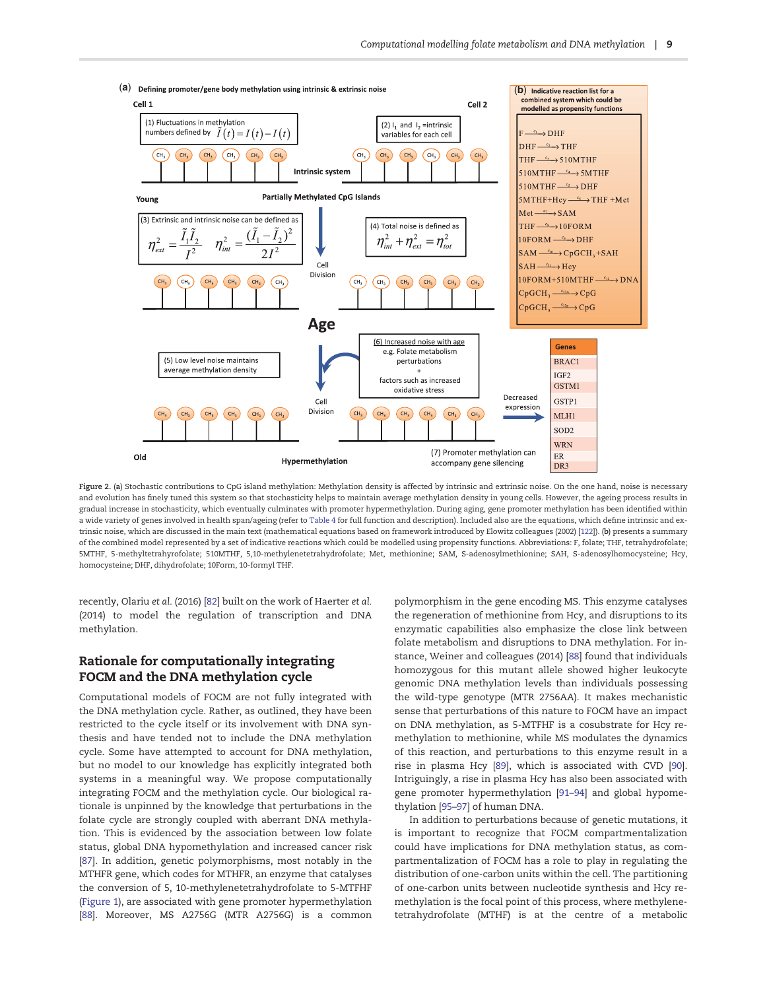<span id="page-8-0"></span>

Figure 2. (a) Stochastic contributions to CpG island methylation: Methylation density is affected by intrinsic and extrinsic noise. On the one hand, noise is necessary and evolution has finely tuned this system so that stochasticity helps to maintain average methylation density in young cells. However, the ageing process results in gradual increase in stochasticity, which eventually culminates with promoter hypermethylation. During aging, gene promoter methylation has been identified within a wide variety of genes involved in health span/ageing (refer to [Table 4](#page-7-0) for full function and description). Included also are the equations, which define intrinsic and extrinsic noise, which are discussed in the main text (mathematical equations based on framework introduced by Elowitz colleagues (2002) [[122\]](#page-13-0)). (b) presents a summary of the combined model represented by a set of indicative reactions which could be modelled using propensity functions. Abbreviations: F, folate; THF, tetrahydrofolate; 5MTHF, 5-methyltetrahyrofolate; 510MTHF, 5,10-methylenetetrahydrofolate; Met, methionine; SAM, S-adenosylmethionine; SAH, S-adenosylhomocysteine; Hcy, homocysteine; DHF, dihydrofolate; 10Form, 10-formyl THF.

recently, Olariu et al. (2016) [\[82](#page-12-0)] built on the work of Haerter et al. (2014) to model the regulation of transcription and DNA methylation.

# Rationale for computationally integrating FOCM and the DNA methylation cycle

Computational models of FOCM are not fully integrated with the DNA methylation cycle. Rather, as outlined, they have been restricted to the cycle itself or its involvement with DNA synthesis and have tended not to include the DNA methylation cycle. Some have attempted to account for DNA methylation, but no model to our knowledge has explicitly integrated both systems in a meaningful way. We propose computationally integrating FOCM and the methylation cycle. Our biological rationale is unpinned by the knowledge that perturbations in the folate cycle are strongly coupled with aberrant DNA methylation. This is evidenced by the association between low folate status, global DNA hypomethylation and increased cancer risk [\[87\]](#page-12-0). In addition, genetic polymorphisms, most notably in the MTHFR gene, which codes for MTHFR, an enzyme that catalyses the conversion of 5, 10-methylenetetrahydrofolate to 5-MTFHF [\(Figure 1\)](#page-2-0), are associated with gene promoter hypermethylation [\[88\]](#page-13-0). Moreover, MS A2756G (MTR A2756G) is a common

polymorphism in the gene encoding MS. This enzyme catalyses the regeneration of methionine from Hcy, and disruptions to its enzymatic capabilities also emphasize the close link between folate metabolism and disruptions to DNA methylation. For instance, Weiner and colleagues (2014) [\[88\]](#page-13-0) found that individuals homozygous for this mutant allele showed higher leukocyte genomic DNA methylation levels than individuals possessing the wild-type genotype (MTR 2756AA). It makes mechanistic sense that perturbations of this nature to FOCM have an impact on DNA methylation, as 5-MTFHF is a cosubstrate for Hcy remethylation to methionine, while MS modulates the dynamics of this reaction, and perturbations to this enzyme result in a rise in plasma Hcy [[89](#page-13-0)], which is associated with CVD [\[90\]](#page-13-0). Intriguingly, a rise in plasma Hcy has also been associated with gene promoter hypermethylation [[91–94\]](#page-13-0) and global hypomethylation [[95](#page-13-0)–[97](#page-13-0)] of human DNA.

In addition to perturbations because of genetic mutations, it is important to recognize that FOCM compartmentalization could have implications for DNA methylation status, as compartmentalization of FOCM has a role to play in regulating the distribution of one-carbon units within the cell. The partitioning of one-carbon units between nucleotide synthesis and Hcy remethylation is the focal point of this process, where methylenetetrahydrofolate (MTHF) is at the centre of a metabolic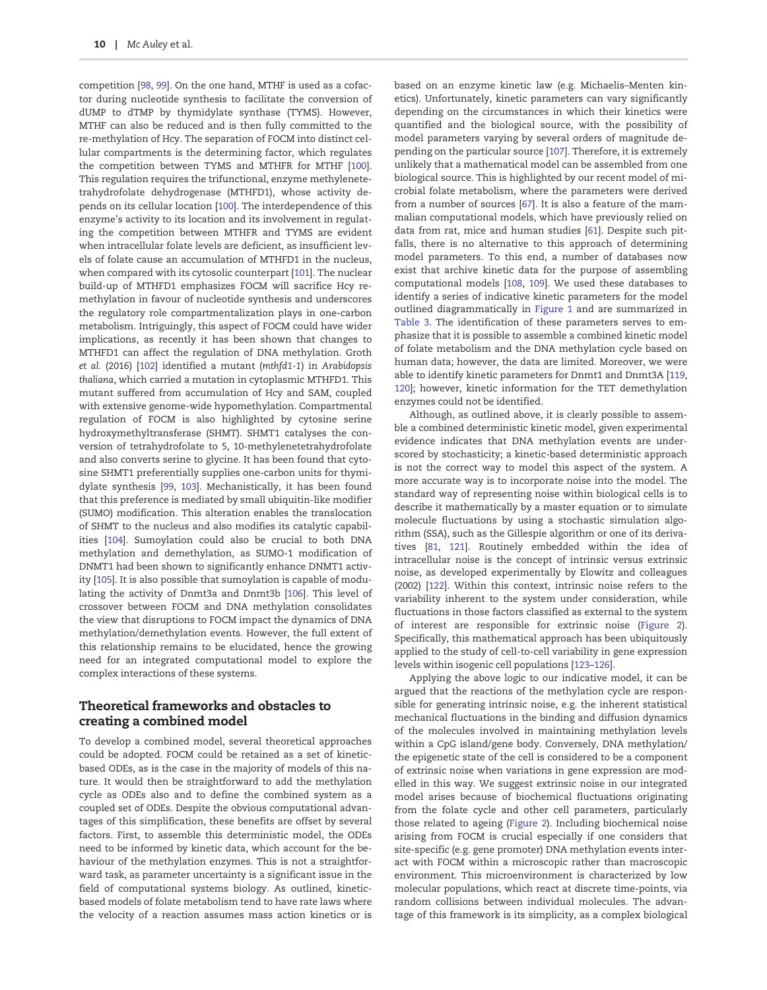competition [\[98,](#page-13-0) [99](#page-13-0)]. On the one hand, MTHF is used as a cofactor during nucleotide synthesis to facilitate the conversion of dUMP to dTMP by thymidylate synthase (TYMS). However, MTHF can also be reduced and is then fully committed to the re-methylation of Hcy. The separation of FOCM into distinct cellular compartments is the determining factor, which regulates the competition between TYMS and MTHFR for MTHF [\[100\]](#page-13-0). This regulation requires the trifunctional, enzyme methylenetetrahydrofolate dehydrogenase (MTHFD1), whose activity depends on its cellular location [\[100\]](#page-13-0). The interdependence of this enzyme's activity to its location and its involvement in regulating the competition between MTHFR and TYMS are evident when intracellular folate levels are deficient, as insufficient levels of folate cause an accumulation of MTHFD1 in the nucleus, when compared with its cytosolic counterpart [[101](#page-13-0)]. The nuclear build-up of MTHFD1 emphasizes FOCM will sacrifice Hcy remethylation in favour of nucleotide synthesis and underscores the regulatory role compartmentalization plays in one-carbon metabolism. Intriguingly, this aspect of FOCM could have wider implications, as recently it has been shown that changes to MTHFD1 can affect the regulation of DNA methylation. Groth et al. (2016) [\[102\]](#page-13-0) identified a mutant (mthfd1-1) in Arabidopsis thaliana, which carried a mutation in cytoplasmic MTHFD1. This mutant suffered from accumulation of Hcy and SAM, coupled with extensive genome-wide hypomethylation. Compartmental regulation of FOCM is also highlighted by cytosine serine hydroxymethyltransferase (SHMT). SHMT1 catalyses the conversion of tetrahydrofolate to 5, 10-methylenetetrahydrofolate and also converts serine to glycine. It has been found that cytosine SHMT1 preferentially supplies one-carbon units for thymidylate synthesis [[99,](#page-13-0) [103\]](#page-13-0). Mechanistically, it has been found that this preference is mediated by small ubiquitin-like modifier (SUMO) modification. This alteration enables the translocation of SHMT to the nucleus and also modifies its catalytic capabilities [[104](#page-13-0)]. Sumoylation could also be crucial to both DNA methylation and demethylation, as SUMO-1 modification of DNMT1 had been shown to significantly enhance DNMT1 activity [\[105](#page-13-0)]. It is also possible that sumoylation is capable of modulating the activity of Dnmt3a and Dnmt3b [[106](#page-13-0)]. This level of crossover between FOCM and DNA methylation consolidates the view that disruptions to FOCM impact the dynamics of DNA methylation/demethylation events. However, the full extent of this relationship remains to be elucidated, hence the growing need for an integrated computational model to explore the complex interactions of these systems.

## Theoretical frameworks and obstacles to creating a combined model

To develop a combined model, several theoretical approaches could be adopted. FOCM could be retained as a set of kineticbased ODEs, as is the case in the majority of models of this nature. It would then be straightforward to add the methylation cycle as ODEs also and to define the combined system as a coupled set of ODEs. Despite the obvious computational advantages of this simplification, these benefits are offset by several factors. First, to assemble this deterministic model, the ODEs need to be informed by kinetic data, which account for the behaviour of the methylation enzymes. This is not a straightforward task, as parameter uncertainty is a significant issue in the field of computational systems biology. As outlined, kineticbased models of folate metabolism tend to have rate laws where the velocity of a reaction assumes mass action kinetics or is

based on an enzyme kinetic law (e.g. Michaelis–Menten kinetics). Unfortunately, kinetic parameters can vary significantly depending on the circumstances in which their kinetics were quantified and the biological source, with the possibility of model parameters varying by several orders of magnitude depending on the particular source [\[107\]](#page-13-0). Therefore, it is extremely unlikely that a mathematical model can be assembled from one biological source. This is highlighted by our recent model of microbial folate metabolism, where the parameters were derived from a number of sources [[67](#page-12-0)]. It is also a feature of the mammalian computational models, which have previously relied on data from rat, mice and human studies [[61\]](#page-12-0). Despite such pitfalls, there is no alternative to this approach of determining model parameters. To this end, a number of databases now exist that archive kinetic data for the purpose of assembling computational models [[108](#page-13-0), [109](#page-13-0)]. We used these databases to identify a series of indicative kinetic parameters for the model outlined diagrammatically in [Figure 1](#page-2-0) and are summarized in [Table 3.](#page-6-0) The identification of these parameters serves to emphasize that it is possible to assemble a combined kinetic model of folate metabolism and the DNA methylation cycle based on human data; however, the data are limited. Moreover, we were able to identify kinetic parameters for Dnmt1 and Dnmt3A [[119](#page-13-0), [120\]](#page-13-0); however, kinetic information for the TET demethylation enzymes could not be identified.

Although, as outlined above, it is clearly possible to assemble a combined deterministic kinetic model, given experimental evidence indicates that DNA methylation events are underscored by stochasticity; a kinetic-based deterministic approach is not the correct way to model this aspect of the system. A more accurate way is to incorporate noise into the model. The standard way of representing noise within biological cells is to describe it mathematically by a master equation or to simulate molecule fluctuations by using a stochastic simulation algorithm (SSA), such as the Gillespie algorithm or one of its derivatives [[81](#page-12-0), [121](#page-13-0)]. Routinely embedded within the idea of intracellular noise is the concept of intrinsic versus extrinsic noise, as developed experimentally by Elowitz and colleagues (2002) [\[122\]](#page-13-0). Within this context, intrinsic noise refers to the variability inherent to the system under consideration, while fluctuations in those factors classified as external to the system of interest are responsible for extrinsic noise ([Figure 2\)](#page-8-0). Specifically, this mathematical approach has been ubiquitously applied to the study of cell-to-cell variability in gene expression levels within isogenic cell populations [\[123–](#page-13-0)[126](#page-14-0)].

Applying the above logic to our indicative model, it can be argued that the reactions of the methylation cycle are responsible for generating intrinsic noise, e.g. the inherent statistical mechanical fluctuations in the binding and diffusion dynamics of the molecules involved in maintaining methylation levels within a CpG island/gene body. Conversely, DNA methylation/ the epigenetic state of the cell is considered to be a component of extrinsic noise when variations in gene expression are modelled in this way. We suggest extrinsic noise in our integrated model arises because of biochemical fluctuations originating from the folate cycle and other cell parameters, particularly those related to ageing ([Figure 2\)](#page-8-0). Including biochemical noise arising from FOCM is crucial especially if one considers that site-specific (e.g. gene promoter) DNA methylation events interact with FOCM within a microscopic rather than macroscopic environment. This microenvironment is characterized by low molecular populations, which react at discrete time-points, via random collisions between individual molecules. The advantage of this framework is its simplicity, as a complex biological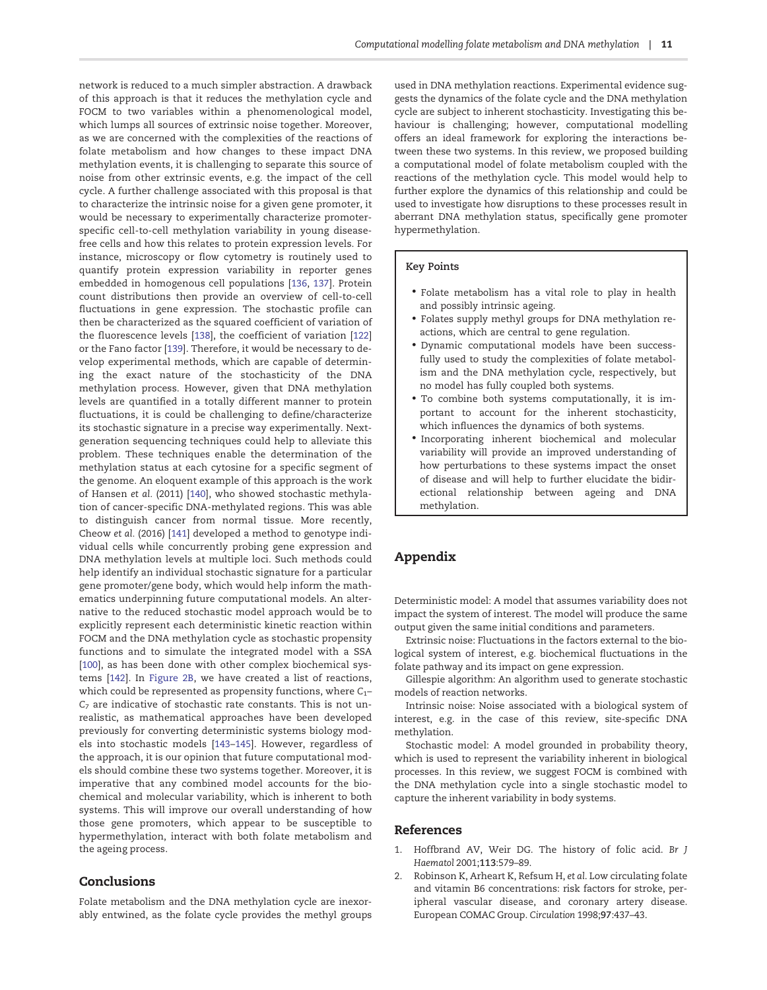<span id="page-10-0"></span>network is reduced to a much simpler abstraction. A drawback of this approach is that it reduces the methylation cycle and FOCM to two variables within a phenomenological model, which lumps all sources of extrinsic noise together. Moreover, as we are concerned with the complexities of the reactions of folate metabolism and how changes to these impact DNA methylation events, it is challenging to separate this source of noise from other extrinsic events, e.g. the impact of the cell cycle. A further challenge associated with this proposal is that to characterize the intrinsic noise for a given gene promoter, it would be necessary to experimentally characterize promoterspecific cell-to-cell methylation variability in young diseasefree cells and how this relates to protein expression levels. For instance, microscopy or flow cytometry is routinely used to quantify protein expression variability in reporter genes embedded in homogenous cell populations [[136](#page-14-0), [137\]](#page-14-0). Protein count distributions then provide an overview of cell-to-cell fluctuations in gene expression. The stochastic profile can then be characterized as the squared coefficient of variation of the fluorescence levels [\[138\]](#page-14-0), the coefficient of variation [\[122\]](#page-13-0) or the Fano factor [[139](#page-14-0)]. Therefore, it would be necessary to develop experimental methods, which are capable of determining the exact nature of the stochasticity of the DNA methylation process. However, given that DNA methylation levels are quantified in a totally different manner to protein fluctuations, it is could be challenging to define/characterize its stochastic signature in a precise way experimentally. Nextgeneration sequencing techniques could help to alleviate this problem. These techniques enable the determination of the methylation status at each cytosine for a specific segment of the genome. An eloquent example of this approach is the work of Hansen et al. (2011) [[140](#page-14-0)], who showed stochastic methylation of cancer-specific DNA-methylated regions. This was able to distinguish cancer from normal tissue. More recently, Cheow et al. (2016) [[141](#page-14-0)] developed a method to genotype individual cells while concurrently probing gene expression and DNA methylation levels at multiple loci. Such methods could help identify an individual stochastic signature for a particular gene promoter/gene body, which would help inform the mathematics underpinning future computational models. An alternative to the reduced stochastic model approach would be to explicitly represent each deterministic kinetic reaction within FOCM and the DNA methylation cycle as stochastic propensity functions and to simulate the integrated model with a SSA [[100](#page-13-0)], as has been done with other complex biochemical systems [[142](#page-14-0)]. In [Figure 2B,](#page-8-0) we have created a list of reactions, which could be represented as propensity functions, where  $C_{1}$ - $C_7$  are indicative of stochastic rate constants. This is not unrealistic, as mathematical approaches have been developed previously for converting deterministic systems biology models into stochastic models [\[143](#page-14-0)–[145\]](#page-14-0). However, regardless of the approach, it is our opinion that future computational models should combine these two systems together. Moreover, it is imperative that any combined model accounts for the biochemical and molecular variability, which is inherent to both systems. This will improve our overall understanding of how those gene promoters, which appear to be susceptible to hypermethylation, interact with both folate metabolism and the ageing process.

## Conclusions

Folate metabolism and the DNA methylation cycle are inexorably entwined, as the folate cycle provides the methyl groups

used in DNA methylation reactions. Experimental evidence suggests the dynamics of the folate cycle and the DNA methylation cycle are subject to inherent stochasticity. Investigating this behaviour is challenging; however, computational modelling offers an ideal framework for exploring the interactions between these two systems. In this review, we proposed building a computational model of folate metabolism coupled with the reactions of the methylation cycle. This model would help to further explore the dynamics of this relationship and could be used to investigate how disruptions to these processes result in aberrant DNA methylation status, specifically gene promoter hypermethylation.

#### Key Points

- Folate metabolism has a vital role to play in health and possibly intrinsic ageing.
- Folates supply methyl groups for DNA methylation reactions, which are central to gene regulation.
- Dynamic computational models have been successfully used to study the complexities of folate metabolism and the DNA methylation cycle, respectively, but no model has fully coupled both systems.
- To combine both systems computationally, it is important to account for the inherent stochasticity, which influences the dynamics of both systems.
- Incorporating inherent biochemical and molecular variability will provide an improved understanding of how perturbations to these systems impact the onset of disease and will help to further elucidate the bidirectional relationship between ageing and DNA methylation.

## Appendix

Deterministic model: A model that assumes variability does not impact the system of interest. The model will produce the same output given the same initial conditions and parameters.

Extrinsic noise: Fluctuations in the factors external to the biological system of interest, e.g. biochemical fluctuations in the folate pathway and its impact on gene expression.

Gillespie algorithm: An algorithm used to generate stochastic models of reaction networks.

Intrinsic noise: Noise associated with a biological system of interest, e.g. in the case of this review, site-specific DNA methylation.

Stochastic model: A model grounded in probability theory, which is used to represent the variability inherent in biological processes. In this review, we suggest FOCM is combined with the DNA methylation cycle into a single stochastic model to capture the inherent variability in body systems.

#### References

- 1. Hoffbrand AV, Weir DG. The history of folic acid. Br J Haematol 2001;113:579–89.
- 2. Robinson K, Arheart K, Refsum H, et al. Low circulating folate and vitamin B6 concentrations: risk factors for stroke, peripheral vascular disease, and coronary artery disease. European COMAC Group. Circulation 1998;97:437–43.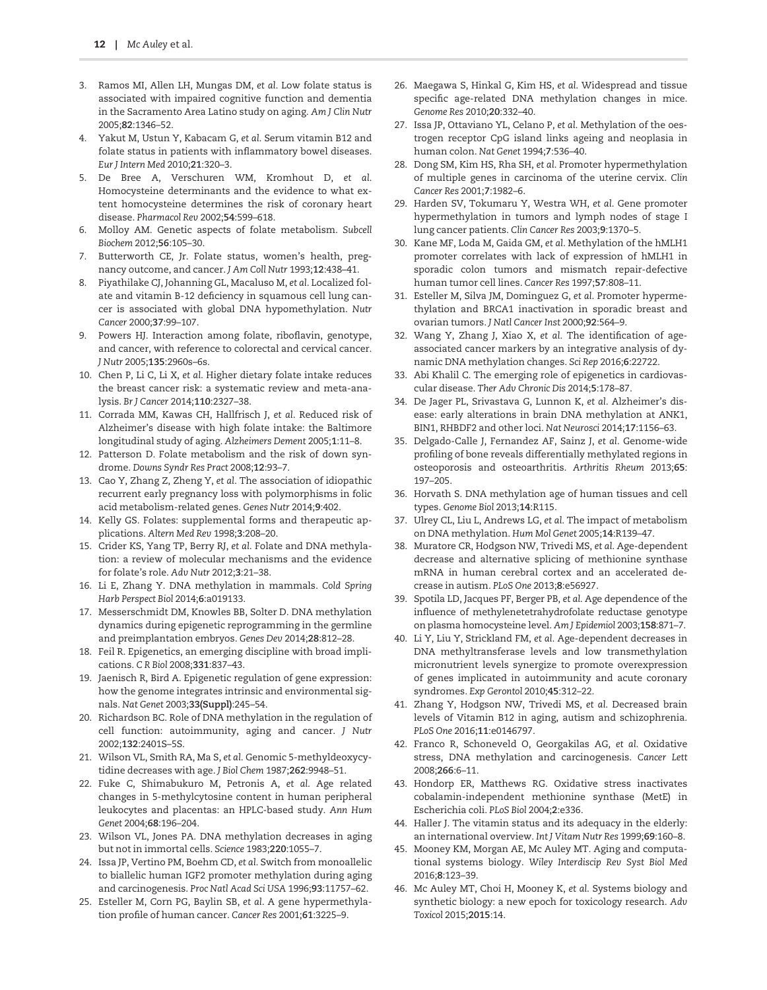- <span id="page-11-0"></span>3. Ramos MI, Allen LH, Mungas DM, et al. Low folate status is associated with impaired cognitive function and dementia in the Sacramento Area Latino study on aging. Am J Clin Nutr 2005;82:1346–52.
- 4. Yakut M, Ustun Y, Kabacam G, et al. Serum vitamin B12 and folate status in patients with inflammatory bowel diseases. Eur J Intern Med 2010;21:320–3.
- 5. De Bree A, Verschuren WM, Kromhout D, et al. Homocysteine determinants and the evidence to what extent homocysteine determines the risk of coronary heart disease. Pharmacol Rev 2002;54:599–618.
- 6. Molloy AM. Genetic aspects of folate metabolism. Subcell Biochem 2012;56:105–30.
- 7. Butterworth CE, Jr. Folate status, women's health, pregnancy outcome, and cancer. J Am Coll Nutr 1993;12:438–41.
- 8. Piyathilake CJ, Johanning GL, Macaluso M, et al. Localized folate and vitamin B-12 deficiency in squamous cell lung cancer is associated with global DNA hypomethylation. Nutr Cancer 2000;37:99–107.
- 9. Powers HJ. Interaction among folate, riboflavin, genotype, and cancer, with reference to colorectal and cervical cancer. J Nutr 2005;135:2960s–6s.
- 10. Chen P, Li C, Li X, et al. Higher dietary folate intake reduces the breast cancer risk: a systematic review and meta-analysis. Br J Cancer 2014;110:2327–38.
- 11. Corrada MM, Kawas CH, Hallfrisch J, et al. Reduced risk of Alzheimer's disease with high folate intake: the Baltimore longitudinal study of aging. Alzheimers Dement 2005;1:11–8.
- 12. Patterson D. Folate metabolism and the risk of down syndrome. Downs Syndr Res Pract 2008;12:93–7.
- 13. Cao Y, Zhang Z, Zheng Y, et al. The association of idiopathic recurrent early pregnancy loss with polymorphisms in folic acid metabolism-related genes. Genes Nutr 2014;9:402.
- 14. Kelly GS. Folates: supplemental forms and therapeutic applications. Altern Med Rev 1998;3:208–20.
- 15. Crider KS, Yang TP, Berry RJ, et al. Folate and DNA methylation: a review of molecular mechanisms and the evidence for folate's role. Adv Nutr 2012;3:21–38.
- 16. Li E, Zhang Y. DNA methylation in mammals. Cold Spring Harb Perspect Biol 2014;6:a019133.
- 17. Messerschmidt DM, Knowles BB, Solter D. DNA methylation dynamics during epigenetic reprogramming in the germline and preimplantation embryos. Genes Dev 2014;28:812–28.
- 18. Feil R. Epigenetics, an emerging discipline with broad implications. C R Biol 2008;331:837–43.
- 19. Jaenisch R, Bird A. Epigenetic regulation of gene expression: how the genome integrates intrinsic and environmental signals. Nat Genet 2003;33(Suppl):245–54.
- 20. Richardson BC. Role of DNA methylation in the regulation of cell function: autoimmunity, aging and cancer. J Nutr 2002;132:2401S–5S.
- 21. Wilson VL, Smith RA, Ma S, et al. Genomic 5-methyldeoxycytidine decreases with age. J Biol Chem 1987;262:9948–51.
- 22. Fuke C, Shimabukuro M, Petronis A, et al. Age related changes in 5-methylcytosine content in human peripheral leukocytes and placentas: an HPLC-based study. Ann Hum Genet 2004;68:196–204.
- 23. Wilson VL, Jones PA. DNA methylation decreases in aging but not in immortal cells. Science 1983;220:1055–7.
- 24. Issa JP, Vertino PM, Boehm CD, et al. Switch from monoallelic to biallelic human IGF2 promoter methylation during aging and carcinogenesis. Proc Natl Acad Sci USA 1996;93:11757–62.
- 25. Esteller M, Corn PG, Baylin SB, et al. A gene hypermethylation profile of human cancer. Cancer Res 2001;61:3225–9.
- 26. Maegawa S, Hinkal G, Kim HS, et al. Widespread and tissue specific age-related DNA methylation changes in mice. Genome Res 2010;20:332–40.
- 27. Issa JP, Ottaviano YL, Celano P, et al. Methylation of the oestrogen receptor CpG island links ageing and neoplasia in human colon. Nat Genet 1994;7:536–40.
- 28. Dong SM, Kim HS, Rha SH, et al. Promoter hypermethylation of multiple genes in carcinoma of the uterine cervix. Clin Cancer Res 2001;7:1982–6.
- 29. Harden SV, Tokumaru Y, Westra WH, et al. Gene promoter hypermethylation in tumors and lymph nodes of stage I lung cancer patients. Clin Cancer Res 2003;9:1370–5.
- 30. Kane MF, Loda M, Gaida GM, et al. Methylation of the hMLH1 promoter correlates with lack of expression of hMLH1 in sporadic colon tumors and mismatch repair-defective human tumor cell lines. Cancer Res 1997;57:808–11.
- 31. Esteller M, Silva JM, Dominguez G, et al. Promoter hypermethylation and BRCA1 inactivation in sporadic breast and ovarian tumors. J Natl Cancer Inst 2000;92:564–9.
- 32. Wang Y, Zhang J, Xiao X, et al. The identification of ageassociated cancer markers by an integrative analysis of dynamic DNA methylation changes. Sci Rep 2016;6:22722.
- 33. Abi Khalil C. The emerging role of epigenetics in cardiovascular disease. Ther Adv Chronic Dis 2014;5:178–87.
- 34. De Jager PL, Srivastava G, Lunnon K, et al. Alzheimer's disease: early alterations in brain DNA methylation at ANK1, BIN1, RHBDF2 and other loci. Nat Neurosci 2014;17:1156–63.
- 35. Delgado-Calle J, Fernandez AF, Sainz J, et al. Genome-wide profiling of bone reveals differentially methylated regions in osteoporosis and osteoarthritis. Arthritis Rheum 2013;65: 197–205.
- 36. Horvath S. DNA methylation age of human tissues and cell types. Genome Biol 2013;14:R115.
- 37. Ulrey CL, Liu L, Andrews LG, et al. The impact of metabolism on DNA methylation. Hum Mol Genet 2005;14:R139–47.
- 38. Muratore CR, Hodgson NW, Trivedi MS, et al. Age-dependent decrease and alternative splicing of methionine synthase mRNA in human cerebral cortex and an accelerated decrease in autism. PLoS One 2013;8:e56927.
- 39. Spotila LD, Jacques PF, Berger PB, et al. Age dependence of the influence of methylenetetrahydrofolate reductase genotype on plasma homocysteine level. Am J Epidemiol 2003;158:871–7.
- 40. Li Y, Liu Y, Strickland FM, et al. Age-dependent decreases in DNA methyltransferase levels and low transmethylation micronutrient levels synergize to promote overexpression of genes implicated in autoimmunity and acute coronary syndromes. Exp Gerontol 2010;45:312–22.
- 41. Zhang Y, Hodgson NW, Trivedi MS, et al. Decreased brain levels of Vitamin B12 in aging, autism and schizophrenia. PLoS One 2016;11:e0146797.
- 42. Franco R, Schoneveld O, Georgakilas AG, et al. Oxidative stress, DNA methylation and carcinogenesis. Cancer Lett 2008;266:6–11.
- 43. Hondorp ER, Matthews RG. Oxidative stress inactivates cobalamin-independent methionine synthase (MetE) in Escherichia coli. PLoS Biol 2004;2:e336.
- 44. Haller J. The vitamin status and its adequacy in the elderly: an international overview. Int J Vitam Nutr Res 1999;69:160–8.
- 45. Mooney KM, Morgan AE, Mc Auley MT. Aging and computational systems biology. Wiley Interdiscip Rev Syst Biol Med 2016;8:123–39.
- 46. Mc Auley MT, Choi H, Mooney K, et al. Systems biology and synthetic biology: a new epoch for toxicology research. Adv Toxicol 2015;2015:14.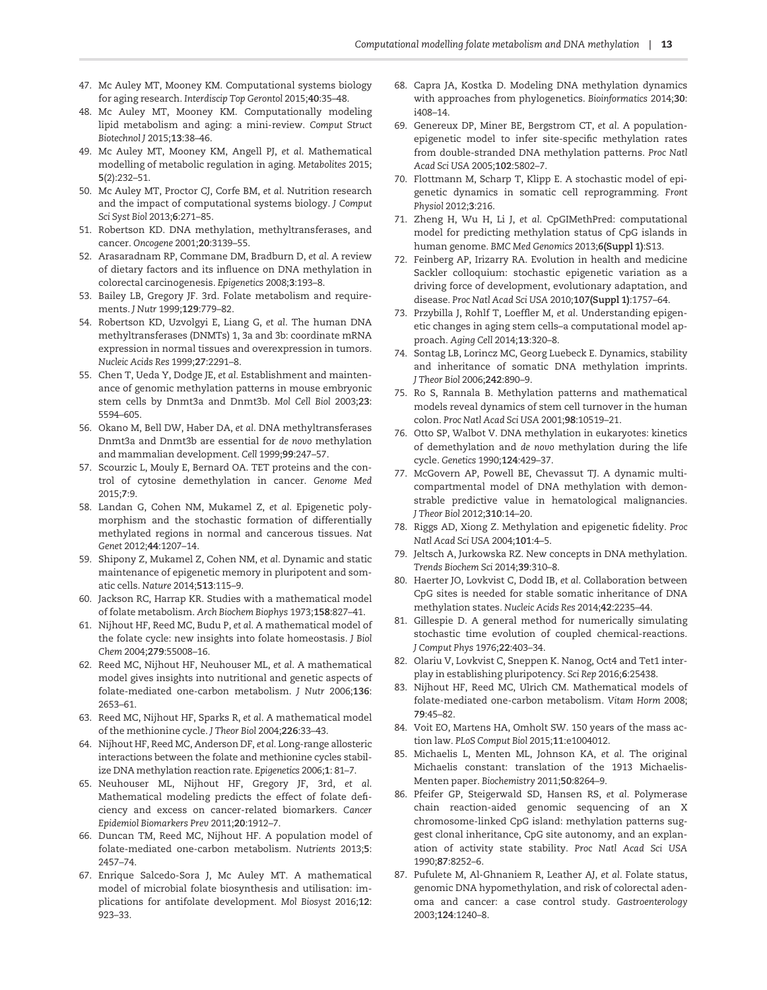- <span id="page-12-0"></span>47. Mc Auley MT, Mooney KM. Computational systems biology for aging research. Interdiscip Top Gerontol 2015;40:35–48.
- 48. Mc Auley MT, Mooney KM. Computationally modeling lipid metabolism and aging: a mini-review. Comput Struct Biotechnol J 2015;13:38–46.
- 49. Mc Auley MT, Mooney KM, Angell PJ, et al. Mathematical modelling of metabolic regulation in aging. Metabolites 2015; 5(2):232–51.
- 50. Mc Auley MT, Proctor CJ, Corfe BM, et al. Nutrition research and the impact of computational systems biology. J Comput Sci Syst Biol 2013;6:271–85.
- 51. Robertson KD. DNA methylation, methyltransferases, and cancer. Oncogene 2001;20:3139–55.
- 52. Arasaradnam RP, Commane DM, Bradburn D, et al. A review of dietary factors and its influence on DNA methylation in colorectal carcinogenesis. Epigenetics 2008;3:193–8.
- 53. Bailey LB, Gregory JF. 3rd. Folate metabolism and requirements. J Nutr 1999;129:779–82.
- 54. Robertson KD, Uzvolgyi E, Liang G, et al. The human DNA methyltransferases (DNMTs) 1, 3a and 3b: coordinate mRNA expression in normal tissues and overexpression in tumors. Nucleic Acids Res 1999;27:2291–8.
- 55. Chen T, Ueda Y, Dodge JE, et al. Establishment and maintenance of genomic methylation patterns in mouse embryonic stem cells by Dnmt3a and Dnmt3b. Mol Cell Biol 2003;23: 5594–605.
- 56. Okano M, Bell DW, Haber DA, et al. DNA methyltransferases Dnmt3a and Dnmt3b are essential for de novo methylation and mammalian development. Cell 1999;99:247–57.
- 57. Scourzic L, Mouly E, Bernard OA. TET proteins and the control of cytosine demethylation in cancer. Genome Med 2015;7:9.
- 58. Landan G, Cohen NM, Mukamel Z, et al. Epigenetic polymorphism and the stochastic formation of differentially methylated regions in normal and cancerous tissues. Nat Genet 2012;44:1207–14.
- 59. Shipony Z, Mukamel Z, Cohen NM, et al. Dynamic and static maintenance of epigenetic memory in pluripotent and somatic cells. Nature 2014;513:115–9.
- 60. Jackson RC, Harrap KR. Studies with a mathematical model of folate metabolism. Arch Biochem Biophys 1973;158:827–41.
- 61. Nijhout HF, Reed MC, Budu P, et al. A mathematical model of the folate cycle: new insights into folate homeostasis. J Biol Chem 2004;279:55008–16.
- 62. Reed MC, Nijhout HF, Neuhouser ML, et al. A mathematical model gives insights into nutritional and genetic aspects of folate-mediated one-carbon metabolism. J Nutr 2006;136: 2653–61.
- 63. Reed MC, Nijhout HF, Sparks R, et al. A mathematical model of the methionine cycle. J Theor Biol 2004;226:33–43.
- 64. Nijhout HF, Reed MC, Anderson DF, et al. Long-range allosteric interactions between the folate and methionine cycles stabilize DNA methylation reaction rate. Epigenetics 2006;1: 81–7.
- 65. Neuhouser ML, Nijhout HF, Gregory JF, 3rd, et al. Mathematical modeling predicts the effect of folate deficiency and excess on cancer-related biomarkers. Cancer Epidemiol Biomarkers Prev 2011;20:1912–7.
- 66. Duncan TM, Reed MC, Nijhout HF. A population model of folate-mediated one-carbon metabolism. Nutrients 2013;5: 2457–74.
- 67. Enrique Salcedo-Sora J, Mc Auley MT. A mathematical model of microbial folate biosynthesis and utilisation: implications for antifolate development. Mol Biosyst 2016;12: 923–33.
- 68. Capra JA, Kostka D. Modeling DNA methylation dynamics with approaches from phylogenetics. Bioinformatics 2014;30: i408–14.
- 69. Genereux DP, Miner BE, Bergstrom CT, et al. A populationepigenetic model to infer site-specific methylation rates from double-stranded DNA methylation patterns. Proc Natl Acad Sci USA 2005;102:5802–7.
- 70. Flottmann M, Scharp T, Klipp E. A stochastic model of epigenetic dynamics in somatic cell reprogramming. Front Physiol 2012;3:216.
- 71. Zheng H, Wu H, Li J, et al. CpGIMethPred: computational model for predicting methylation status of CpG islands in human genome. BMC Med Genomics 2013;6(Suppl 1):S13.
- 72. Feinberg AP, Irizarry RA. Evolution in health and medicine Sackler colloquium: stochastic epigenetic variation as a driving force of development, evolutionary adaptation, and disease. Proc Natl Acad Sci USA 2010;107(Suppl 1):1757–64.
- 73. Przybilla J, Rohlf T, Loeffler M, et al. Understanding epigenetic changes in aging stem cells–a computational model approach. Aging Cell 2014;13:320–8.
- 74. Sontag LB, Lorincz MC, Georg Luebeck E. Dynamics, stability and inheritance of somatic DNA methylation imprints. J Theor Biol 2006;242:890–9.
- 75. Ro S, Rannala B. Methylation patterns and mathematical models reveal dynamics of stem cell turnover in the human colon. Proc Natl Acad Sci USA 2001;98:10519–21.
- 76. Otto SP, Walbot V. DNA methylation in eukaryotes: kinetics of demethylation and de novo methylation during the life cycle. Genetics 1990;124:429–37.
- 77. McGovern AP, Powell BE, Chevassut TJ. A dynamic multicompartmental model of DNA methylation with demonstrable predictive value in hematological malignancies. J Theor Biol 2012;310:14–20.
- 78. Riggs AD, Xiong Z. Methylation and epigenetic fidelity. Proc Natl Acad Sci USA 2004;101:4–5.
- 79. Jeltsch A, Jurkowska RZ. New concepts in DNA methylation. Trends Biochem Sci 2014;39:310–8.
- 80. Haerter JO, Lovkvist C, Dodd IB, et al. Collaboration between CpG sites is needed for stable somatic inheritance of DNA methylation states. Nucleic Acids Res 2014;42:2235–44.
- 81. Gillespie D. A general method for numerically simulating stochastic time evolution of coupled chemical-reactions. J Comput Phys 1976;22:403–34.
- 82. Olariu V, Lovkvist C, Sneppen K. Nanog, Oct4 and Tet1 interplay in establishing pluripotency. Sci Rep 2016;6:25438.
- 83. Nijhout HF, Reed MC, Ulrich CM. Mathematical models of folate-mediated one-carbon metabolism. Vitam Horm 2008; 79:45–82.
- 84. Voit EO, Martens HA, Omholt SW. 150 years of the mass action law. PLoS Comput Biol 2015;11:e1004012.
- 85. Michaelis L, Menten ML, Johnson KA, et al. The original Michaelis constant: translation of the 1913 Michaelis-Menten paper. Biochemistry 2011;50:8264–9.
- 86. Pfeifer GP, Steigerwald SD, Hansen RS, et al. Polymerase chain reaction-aided genomic sequencing of an X chromosome-linked CpG island: methylation patterns suggest clonal inheritance, CpG site autonomy, and an explanation of activity state stability. Proc Natl Acad Sci USA 1990;87:8252–6.
- 87. Pufulete M, Al-Ghnaniem R, Leather AJ, et al. Folate status, genomic DNA hypomethylation, and risk of colorectal adenoma and cancer: a case control study. Gastroenterology 2003;124:1240–8.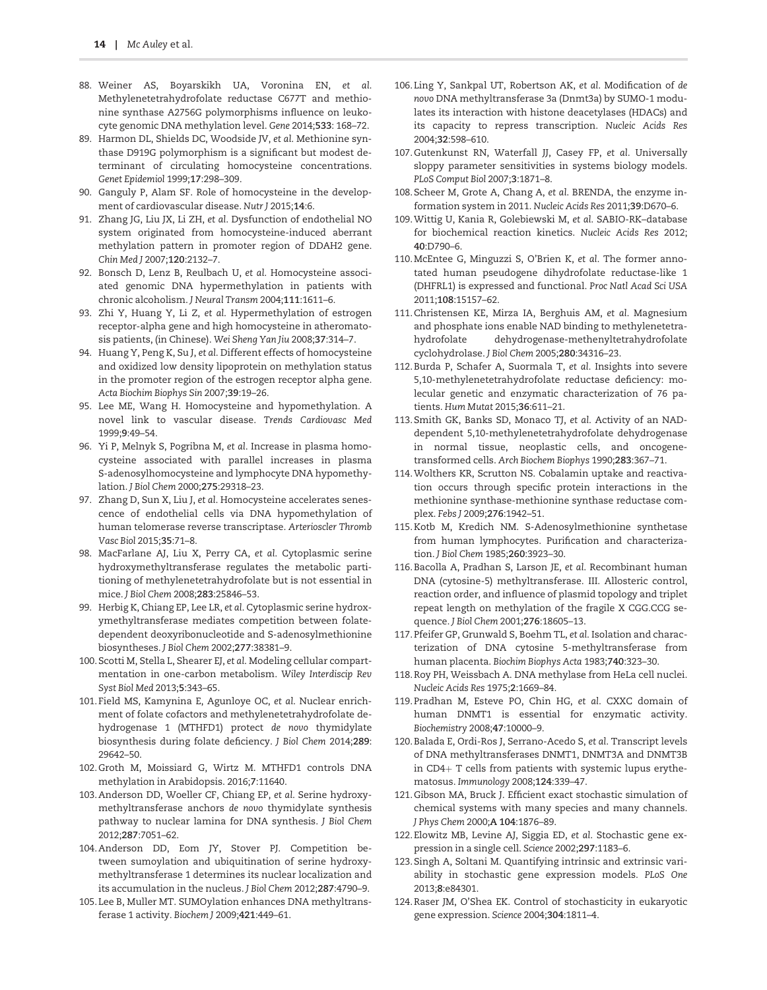- <span id="page-13-0"></span>88. Weiner AS, Boyarskikh UA, Voronina EN, et al. Methylenetetrahydrofolate reductase C677T and methionine synthase A2756G polymorphisms influence on leukocyte genomic DNA methylation level. Gene 2014;533: 168–72.
- 89. Harmon DL, Shields DC, Woodside JV, et al. Methionine synthase D919G polymorphism is a significant but modest determinant of circulating homocysteine concentrations. Genet Epidemiol 1999;17:298–309.
- 90. Ganguly P, Alam SF. Role of homocysteine in the development of cardiovascular disease. Nutr J 2015;14:6.
- 91. Zhang JG, Liu JX, Li ZH, et al. Dysfunction of endothelial NO system originated from homocysteine-induced aberrant methylation pattern in promoter region of DDAH2 gene. Chin Med J 2007;120:2132–7.
- 92. Bonsch D, Lenz B, Reulbach U, et al. Homocysteine associated genomic DNA hypermethylation in patients with chronic alcoholism. J Neural Transm 2004;111:1611–6.
- 93. Zhi Y, Huang Y, Li Z, et al. Hypermethylation of estrogen receptor-alpha gene and high homocysteine in atheromatosis patients, (in Chinese). Wei Sheng Yan Jiu 2008;37:314–7.
- 94. Huang Y, Peng K, Su J, et al. Different effects of homocysteine and oxidized low density lipoprotein on methylation status in the promoter region of the estrogen receptor alpha gene. Acta Biochim Biophys Sin 2007;39:19–26.
- 95. Lee ME, Wang H. Homocysteine and hypomethylation. A novel link to vascular disease. Trends Cardiovasc Med 1999;9:49–54.
- 96. Yi P, Melnyk S, Pogribna M, et al. Increase in plasma homocysteine associated with parallel increases in plasma S-adenosylhomocysteine and lymphocyte DNA hypomethylation. J Biol Chem 2000;275:29318–23.
- 97. Zhang D, Sun X, Liu J, et al. Homocysteine accelerates senescence of endothelial cells via DNA hypomethylation of human telomerase reverse transcriptase. Arterioscler Thromb Vasc Biol 2015;35:71–8.
- 98. MacFarlane AJ, Liu X, Perry CA, et al. Cytoplasmic serine hydroxymethyltransferase regulates the metabolic partitioning of methylenetetrahydrofolate but is not essential in mice. J Biol Chem 2008;283:25846–53.
- 99. Herbig K, Chiang EP, Lee LR, et al. Cytoplasmic serine hydroxymethyltransferase mediates competition between folatedependent deoxyribonucleotide and S-adenosylmethionine biosyntheses. J Biol Chem 2002;277:38381–9.
- 100. Scotti M, Stella L, Shearer EJ, et al. Modeling cellular compartmentation in one-carbon metabolism. Wiley Interdiscip Rev Syst Biol Med 2013;5:343–65.
- 101. Field MS, Kamynina E, Agunloye OC, et al. Nuclear enrichment of folate cofactors and methylenetetrahydrofolate dehydrogenase 1 (MTHFD1) protect de novo thymidylate biosynthesis during folate deficiency. J Biol Chem 2014;289: 29642–50.
- 102. Groth M, Moissiard G, Wirtz M. MTHFD1 controls DNA methylation in Arabidopsis. 2016;7:11640.
- 103. Anderson DD, Woeller CF, Chiang EP, et al. Serine hydroxymethyltransferase anchors de novo thymidylate synthesis pathway to nuclear lamina for DNA synthesis. J Biol Chem 2012;287:7051–62.
- 104. Anderson DD, Eom JY, Stover PJ. Competition between sumoylation and ubiquitination of serine hydroxymethyltransferase 1 determines its nuclear localization and its accumulation in the nucleus. J Biol Chem 2012;287:4790–9.
- 105. Lee B, Muller MT. SUMOylation enhances DNA methyltransferase 1 activity. Biochem J 2009;421:449–61.
- 106. Ling Y, Sankpal UT, Robertson AK, et al. Modification of de novo DNA methyltransferase 3a (Dnmt3a) by SUMO-1 modulates its interaction with histone deacetylases (HDACs) and its capacity to repress transcription. Nucleic Acids Res 2004;32:598–610.
- 107. Gutenkunst RN, Waterfall JJ, Casey FP, et al. Universally sloppy parameter sensitivities in systems biology models. PLoS Comput Biol 2007;3:1871–8.
- 108. Scheer M, Grote A, Chang A, et al. BRENDA, the enzyme information system in 2011. Nucleic Acids Res 2011;39:D670–6.
- 109.Wittig U, Kania R, Golebiewski M, et al. SABIO-RK–database for biochemical reaction kinetics. Nucleic Acids Res 2012; 40:D790–6.
- 110.McEntee G, Minguzzi S, O'Brien K, et al. The former annotated human pseudogene dihydrofolate reductase-like 1 (DHFRL1) is expressed and functional. Proc Natl Acad Sci USA 2011;108:15157–62.
- 111. Christensen KE, Mirza IA, Berghuis AM, et al. Magnesium and phosphate ions enable NAD binding to methylenetetrahydrofolate dehydrogenase-methenyltetrahydrofolate cyclohydrolase. J Biol Chem 2005;280:34316–23.
- 112. Burda P, Schafer A, Suormala T, et al. Insights into severe 5,10-methylenetetrahydrofolate reductase deficiency: molecular genetic and enzymatic characterization of 76 patients. Hum Mutat 2015;36:611–21.
- 113. Smith GK, Banks SD, Monaco TJ, et al. Activity of an NADdependent 5,10-methylenetetrahydrofolate dehydrogenase in normal tissue, neoplastic cells, and oncogenetransformed cells. Arch Biochem Biophys 1990;283:367–71.
- 114.Wolthers KR, Scrutton NS. Cobalamin uptake and reactivation occurs through specific protein interactions in the methionine synthase-methionine synthase reductase complex. Febs J 2009;276:1942–51.
- 115.Kotb M, Kredich NM. S-Adenosylmethionine synthetase from human lymphocytes. Purification and characterization. J Biol Chem 1985;260:3923–30.
- 116. Bacolla A, Pradhan S, Larson JE, et al. Recombinant human DNA (cytosine-5) methyltransferase. III. Allosteric control, reaction order, and influence of plasmid topology and triplet repeat length on methylation of the fragile X CGG.CCG sequence. J Biol Chem 2001;276:18605–13.
- 117. Pfeifer GP, Grunwald S, Boehm TL, et al. Isolation and characterization of DNA cytosine 5-methyltransferase from human placenta. Biochim Biophys Acta 1983;740:323–30.
- 118. Roy PH, Weissbach A. DNA methylase from HeLa cell nuclei. Nucleic Acids Res 1975;2:1669–84.
- 119. Pradhan M, Esteve PO, Chin HG, et al. CXXC domain of human DNMT1 is essential for enzymatic activity. Biochemistry 2008;47:10000–9.
- 120. Balada E, Ordi-Ros J, Serrano-Acedo S, et al. Transcript levels of DNA methyltransferases DNMT1, DNMT3A and DNMT3B in  $CD4+T$  cells from patients with systemic lupus erythematosus. Immunology 2008;124:339–47.
- 121. Gibson MA, Bruck J. Efficient exact stochastic simulation of chemical systems with many species and many channels. J Phys Chem 2000;A 104:1876–89.
- 122. Elowitz MB, Levine AJ, Siggia ED, et al. Stochastic gene expression in a single cell. Science 2002;297:1183–6.
- 123. Singh A, Soltani M. Quantifying intrinsic and extrinsic variability in stochastic gene expression models. PLoS One 2013;8:e84301.
- 124. Raser JM, O'Shea EK. Control of stochasticity in eukaryotic gene expression. Science 2004;304:1811–4.